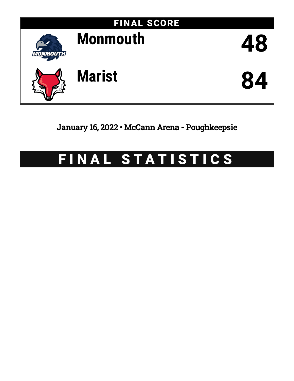

January 16, 2022 • McCann Arena - Poughkeepsie

# FINAL STATISTICS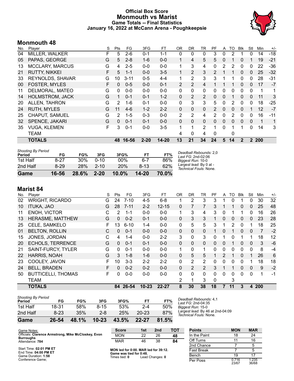### **Official Box Score Monmouth vs Marist Game Totals -- Final Statistics January 16, 2022 at McCann Arena - Poughkeepsie**



## **Monmouth 48**

| No. | Player                  | S  | Pts      | FG       | 3FG      | FT        | 0R                   | <b>DR</b>      | TR             | PF            | A            | TO       | <b>BIK</b>   | Stl          | Min   | $+/-$ |
|-----|-------------------------|----|----------|----------|----------|-----------|----------------------|----------------|----------------|---------------|--------------|----------|--------------|--------------|-------|-------|
| 04  | <b>MILLER, WALKER</b>   | F. | 5        | $2-6$    | $0 - 1$  | $1 - 1$   | 0                    | 0              | 0              | 3             | $\mathbf{0}$ | 2        |              | $\Omega$     | 14    | $-18$ |
| 05  | PAPAS, GEORGE           | G  | 5        | $2 - 8$  | $1 - 6$  | $0-0$     | $\mathbf{1}$         | 4              | 5              | 5.            | $\mathbf{0}$ |          | 0            | 1            | 19    | $-21$ |
| 13  | <b>MCCLARY, MARCUS</b>  | G  | 4        | $2 - 5$  | $0 - 0$  | $0-0$     | 1                    | 3              | 4              | 0             | 2            | 2        | 0            | 0            | 22    | $-36$ |
| 21  | <b>RUTTY, NIKKEI</b>    | F. | 5        | $1 - 1$  | $0 - 0$  | $3 - 5$   | 1                    | 2              | 3              | $\mathcal{P}$ |              |          | $\Omega$     | 0            | 25    | $-32$ |
| 33  | <b>REYNOLDS, SHAVAR</b> | G  | 10       | $3 - 11$ | $0 - 5$  | $4 - 4$   | 1                    | 2              | 3              | 3             |              | 1        | $\Omega$     | $\Omega$     | 28    | -31   |
| 00  | <b>FOSTER, MYLES</b>    | F  | $\Omega$ | $0 - 5$  | $0 - 0$  | $0 - 1$   | 2                    | 2              | 4              |               |              |          | $\mathbf{0}$ | $\mathbf{0}$ | 17    | $-7$  |
| 11  | DELMORAL, MATEO         | G  | $\Omega$ | $0 - 0$  | $0 - 0$  | $0-0$     | $\mathbf{0}$         | 0              | $\mathbf{0}$   | $\Omega$      | 0            | 0        | $\Omega$     | $\mathbf 0$  | 1     | 1     |
| 14  | <b>HOLMSTROM, JACK</b>  | G  |          | $0 - 1$  | $0 - 1$  | $1 - 2$   | 0                    | $\overline{2}$ | $\overline{2}$ | 0             | 0            |          | $\mathbf{0}$ | $\mathbf{0}$ | 11    | 3     |
| 20  | ALLEN, TAHRON           | G  | 2        | $1 - 6$  | 0-1      | $0-0$     | 0                    | 3              | 3              | 5             | 0            | 2        | 0            | 0            | 18    | $-25$ |
| 24  | <b>RUTH, MYLES</b>      | G  | 11       | $4-6$    | $1 - 2$  | $2 - 2$   | $\Omega$             | $\mathbf{0}$   | $\Omega$       | $\mathcal{P}$ | $\Omega$     | $\Omega$ | $\Omega$     | 1            | 12    | $-7$  |
| 25  | CHAPUT, SAMUEL          | G  | 2        | $1 - 5$  | $0 - 3$  | $0-0$     | 2                    | 2              | 4              | 2             | 0            | 2        | 0            | $\Omega$     | 16    | $-11$ |
| 32  | SPENCE, JAKARI          | G  | $\Omega$ | $0 - 1$  | $0 - 1$  | $0 - 0$   | $\Omega$             | $\mathbf{0}$   | $\Omega$       | $\Omega$      | 0            | $\Omega$ | $\Omega$     | $\Omega$     | 1     | 1     |
| 35  | <b>VUGA, KLEMEN</b>     | F  | 3        | $0 - 1$  | $0 - 0$  | $3-5$     | $\blacktriangleleft$ | 1              | $\overline{2}$ | 1             | $\Omega$     |          |              | $\Omega$     | 14    | 3     |
|     | <b>TEAM</b>             |    |          |          |          |           | 4                    | 0              | 4              | 0             |              | 0        |              |              |       |       |
|     | <b>TOTALS</b>           |    |          | 48 16-56 | $2 - 20$ | $14 - 20$ | 13                   | 21             | 34             | 24            | 5            | 14       | $\mathbf{2}$ |              | 2 200 |       |

| Game                                | 16-56    | 28.6% | $2 - 20$ | $10.0\%$ | 14-20    | 70.0% |                                                   |
|-------------------------------------|----------|-------|----------|----------|----------|-------|---------------------------------------------------|
| 2nd Half                            | $8 - 29$ | 28%   | $2 - 10$ | 20%      | $8 - 13$ | 62%   | Largest lead: By 0 at -<br>Technical Fouls: None. |
| 1st Half                            | $8 - 27$ | 30%   | $0 - 10$ | $00\%$   | $6 - 7$  | 86%   | Biggest Run: 10-0                                 |
| <b>Shooting By Period</b><br>Period | FG       | FG%   | 3FG      | 3FG%     | FT       | FT%   | Deadball Rebounds: 2,0<br>Last $FG: 2nd-02:06$    |

# **Marist 84**

| No. | Player                    | S  | Pts      | FG       | 3FG       | FT        | <b>OR</b>    | <b>DR</b> | TR             | PF           | A        | TO       | <b>BIK</b>   | Stl      | Min        | $+/-$ |
|-----|---------------------------|----|----------|----------|-----------|-----------|--------------|-----------|----------------|--------------|----------|----------|--------------|----------|------------|-------|
| 02  | <b>WRIGHT, RICARDO</b>    | G  | 24       | $7 - 10$ | $4 - 5$   | $6 - 8$   |              | 2         | 3              | 3            |          | 0        |              | 0        | 30         | 32    |
| 10  | <b>ITUKA, JAO</b>         | G  | 28       | $7 - 11$ | $2 - 2$   | $12 - 15$ | 0            | 7         | $\overline{7}$ | 3            |          |          | $\mathbf{0}$ | 0        | 25         | 48    |
| 11  | ENOH, VICTOR              | С  | 2        | $1 - 1$  | $0 - 0$   | $0 - 0$   |              | 3         | 4              | 3            | 0        |          |              | 0        | 16         | 26    |
| 13  | <b>HERASME, MATTHEW</b>   | G  | $\Omega$ | $0 - 2$  | $0 - 1$   | $0 - 0$   | $\Omega$     | 3         | 3              | 1            | $\Omega$ | $\Omega$ | $\Omega$     | $\Omega$ | 23         | 28    |
| 25  | CELE, SAMKELO             | F  | 13       | $6 - 10$ | 1-4       | $0 - 0$   | $\mathbf{0}$ | 5         | 5              | 3            | 1        | 2        | $\Omega$     | 1        | 18         | 25    |
| 01  | <b>BELTON, ROLLIN</b>     | С  | 0        | $0 - 1$  | $0 - 0$   | $0 - 0$   | $\mathbf{0}$ | $\Omega$  | $\mathbf{0}$   |              | 0        |          | $\mathbf{0}$ | 0        | 7          | $-2$  |
| 15  | JONES, JORDAN             | С  | 4        | $1 - 4$  | $0 - 0$   | $2 - 2$   | 3            | 0         | 3              | $\Omega$     | 1        | 0        |              | 1        | 18         | 12    |
| 20  | <b>ECHOLS, TERRENCE</b>   | G  | $\Omega$ | $0 - 1$  | $0 - 1$   | $0 - 0$   | $\Omega$     | $\Omega$  | $\Omega$       | $\Omega$     | 0        |          | 0            | $\Omega$ | 3          | $-6$  |
| 21  | SAINT-FURCY, TYLER        | G  | 0        | $0 - 1$  | $0 - 0$   | $0 - 0$   | 1            | 0         | 1.             | 0            | 0        | 0        | 0            | 0        | 8          | -4    |
| 22  | <b>HARRIS, NOAH</b>       | G  | 3        | $1 - 8$  | $1 - 6$   | $0 - 0$   | $\Omega$     | 5         | 5.             | 1.           | 2        | 1        | $\Omega$     | 1        | 26         | 6     |
| 23  | COOLEY, JAVON             | F  | 10       | $3 - 3$  | $2 - 2$   | $2 - 2$   | 0            | 2         | $\overline{2}$ | 0            | 0        | 0        | 0            |          | 18         | 18    |
| 24  | <b>BELL, BRADEN</b>       | F  | $\Omega$ | $0 - 2$  | $0 - 2$   | $0 - 0$   | $\mathbf{0}$ | 2         | $\overline{2}$ | 3            |          |          | $\mathbf{0}$ | 0        | 9          | $-2$  |
| 50  | <b>BUTTICELLI, THOMAS</b> | F. | 0        | $0 - 0$  | $0 - 0$   | $0 - 0$   | $\Omega$     | $\Omega$  | $\Omega$       | 0            | 0        | 0        | 0            | 0        | 1          | $-1$  |
|     | <b>TEAM</b>               |    |          |          |           |           | 2            | 1         | 3              | $\mathbf{0}$ |          | 3        |              |          |            |       |
|     | <b>TOTALS</b>             |    |          | 84 26-54 | $10 - 23$ | $22 - 27$ | 8            | 30        | 38             | 18           | 7        | 11       | 3            | 4        | <b>200</b> |       |

| Game                                | $26 - 54$ | 48.1% | $10 - 23$ | 43.5% | $22 - 27$ | 81.5% |
|-------------------------------------|-----------|-------|-----------|-------|-----------|-------|
| 2nd Half                            | $8 - 23$  | 35%   | $2 - 8$   | 25%   | $20 - 23$ | 87%   |
| 1st Half                            | 18-31     | 58%   | $8 - 15$  | 53%   | $2 - 4$   | 50%   |
| <b>Shooting By Period</b><br>Period | FG        | FG%   | 3FG       | 3FG%  | FТ        | FT%   |

*Deadball Rebounds:* 4,1 *Last FG:* 2nd-04:35 *Biggest Run:* 15-0 *Largest lead:* By 46 at 2nd-04:09 *Technical Fouls:* None.

| Game Notes:                                         | <b>Score</b>                         | 1st | 2 <sub>nd</sub> | тот | <b>Points</b> | <b>MON</b> | <b>MAR</b> |
|-----------------------------------------------------|--------------------------------------|-----|-----------------|-----|---------------|------------|------------|
| Officials: Clarence Armstrong, Mike McCloskey, Evon | <b>MON</b>                           | 22  | 26              | 48  | In the Paint  | 18         | 24         |
| <b>Burroughs</b><br>Attendance: 784                 | <b>MAR</b>                           | 46  | 38              | 84  | Off Turns     |            | 16         |
|                                                     |                                      |     |                 |     | 2nd Chance    |            |            |
| Start Time: 02:01 PM ET<br>$End$ Time: 04:00 DM CT  | MON led for 0:00. MAR led for 39:12. |     |                 |     | Fast Break    |            |            |

End Time: **04:00 PM ET** Game Duration: **1:58** Conference Game;

**MON led for 0:00. MAR led for 39:12. Game was tied for 0:48.** Times tied: **0** Lead Changes: **0**

| .                 | .              | .              |
|-------------------|----------------|----------------|
| In the Paint      | 18             | 24             |
| Off Turns         | 11             | 16             |
| 2nd Chance        |                | 5              |
| <b>Fast Break</b> |                | 5              |
| Bench             | 19             | 17             |
| Per Poss          | 0.716<br>23/67 | 1.235<br>36/68 |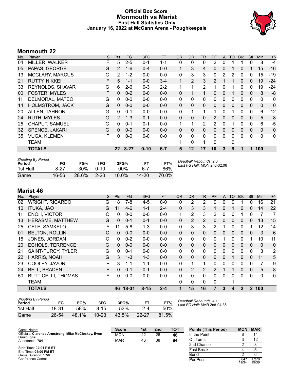### **Official Box Score Monmouth vs Marist First Half Statistics Only January 16, 2022 at McCann Arena - Poughkeepsie**



# **Monmouth 22**

| No. | Player                  | S | <b>Pts</b>        | FG       | 3FG      | <b>FT</b> | <b>OR</b>    | <b>DR</b>    | <b>TR</b>    | PF             | A | TO       | <b>Blk</b> | Stl          | <b>Min</b> | $+/-$ |
|-----|-------------------------|---|-------------------|----------|----------|-----------|--------------|--------------|--------------|----------------|---|----------|------------|--------------|------------|-------|
| 04  | MILLER, WALKER          | F | 5                 | $2 - 5$  | $0 - 1$  | $1 - 1$   | 0            | 0            | 0            | 2              | 0 |          |            | 0            | 8          | $-4$  |
| 05  | PAPAS, GEORGE           | G | $\overline{2}$    | $1 - 6$  | $0 - 4$  | $0 - 0$   | $\mathbf{1}$ | 3            | 4            | 0              | 0 |          | 0          | 1            | 15         | $-16$ |
| 13  | <b>MCCLARY, MARCUS</b>  | G | $\overline{2}$    | $1 - 2$  | $0-0$    | $0 - 0$   | 0            | 3            | 3            | 0              | 2 | 2        | 0          | 0            | 15         | $-19$ |
| 21  | <b>RUTTY, NIKKEI</b>    | F | 5                 | $1 - 1$  | $0 - 0$  | $3-4$     | $\mathbf{1}$ | 2            | 3            | $\overline{2}$ |   | 1        | $\Omega$   | $\mathbf{0}$ | 19         | $-24$ |
| 33  | <b>REYNOLDS, SHAVAR</b> | G | 6                 | $2-6$    | $0 - 3$  | $2 - 2$   | 1            | 1            | 2            | 1              | 0 |          | 0          | 0            | 19         | -24   |
| 00  | <b>FOSTER, MYLES</b>    | F | $\Omega$          | $0 - 2$  | $0 - 0$  | $0 - 0$   | 0            | 1            | 1            | $\Omega$       | 0 |          | $\Omega$   | $\Omega$     | 8          | -8    |
| 11  | DELMORAL, MATEO         | G | 0                 | $0 - 0$  | $0 - 0$  | $0-0$     | 0            | $\mathbf{0}$ | $\mathbf{0}$ | 0              | 0 | 0        | 0          | 0            | 0          | 0     |
| 14  | <b>HOLMSTROM, JACK</b>  | G | $\Omega$          | $0 - 0$  | $0 - 0$  | $0 - 0$   | $\Omega$     | $\Omega$     | $\mathbf{0}$ | $\Omega$       | 0 | $\Omega$ | $\Omega$   | $\Omega$     | $\Omega$   | 0     |
| 20  | ALLEN, TAHRON           | G | 0                 | $0 - 1$  | $0 - 0$  | $0-0$     | 0            | 1            | 1            | 1              | 0 | 1        | 0          | 0            | 6          | $-12$ |
| 24  | <b>RUTH, MYLES</b>      | G | 2                 | $1 - 3$  | $0 - 1$  | $0 - 0$   | 0            | $\mathbf{0}$ | $\mathbf{0}$ | 2              | 0 | 0        | 0          | $\Omega$     | 5          | -8    |
| 25  | CHAPUT, SAMUEL          | G | 0                 | $0 - 1$  | $0 - 1$  | $0 - 0$   | $\mathbf 1$  | 1            | 2            | 2              | 0 | 1        | 0          | 0            | 6          | $-5$  |
| 32  | SPENCE, JAKARI          | G | $\Omega$          | $0 - 0$  | $0 - 0$  | $0 - 0$   | 0            | $\mathbf{0}$ | $\Omega$     | 0              | 0 | $\Omega$ | $\Omega$   | $\Omega$     | $\Omega$   | 0     |
| 35  | <b>VUGA, KLEMEN</b>     | F | $\Omega$          | $0 - 0$  | $0 - 0$  | $0-0$     | 0            | $\mathbf{0}$ | $\mathbf{0}$ | 0              | 0 | 0        | $\Omega$   | 0            | 0          | 0     |
|     | <b>TEAM</b>             |   |                   |          |          |           |              | $\mathbf{0}$ | 1            | $\Omega$       |   | 0        |            |              |            |       |
|     | <b>TOTALS</b>           |   | $22 \overline{ }$ | $8 - 27$ | $0 - 10$ | $6 - 7$   | 5            | 12           | 17           | 10             | 3 | 9        |            | 1            | 100        |       |

| <b>Shooting By Period</b><br>Period | FG    | FG%   | 3FG      | 3FG%     |           | FT%   | Deadball Rebounds: 2,0<br>Last FG Half: MON 2nd-02:06 |
|-------------------------------------|-------|-------|----------|----------|-----------|-------|-------------------------------------------------------|
| 1st Half                            | 8-27  | 30%   | $0 - 10$ | $00\%$   | $6 - 7$   | 86%   |                                                       |
| Game                                | 16-56 | 28.6% | $2 - 20$ | $10.0\%$ | $14 - 20$ | 70 0% |                                                       |

# **Marist 46**

| No. | Player                    | S | Pts      | FG.      | 3FG      | <b>FT</b> | OR.          | <b>DR</b>      | TR           | <b>PF</b>     | A            | TO           | <b>Blk</b>   | Stl          | Min          | $+/-$          |
|-----|---------------------------|---|----------|----------|----------|-----------|--------------|----------------|--------------|---------------|--------------|--------------|--------------|--------------|--------------|----------------|
| 02  | <b>WRIGHT, RICARDO</b>    | G | 18       | 7-8      | $4 - 5$  | $0 - 0$   | 0            | 2              | 2            | $\Omega$      | 0            | 0            |              | $\Omega$     | 16           | 21             |
| 10  | <b>ITUKA, JAO</b>         | G | 11       | $4-6$    | $1 - 1$  | $2 - 4$   | 0            | 3              | 3            |               | 0            | 1            | 0            | $\Omega$     | 14           | 22             |
| 11  | <b>ENOH, VICTOR</b>       | С | 0        | $0-0$    | $0 - 0$  | $0 - 0$   |              | 2              | 3            | 2             | 0            | 0            |              | 0            | 7            | $\overline{7}$ |
| 13  | <b>HERASME, MATTHEW</b>   | G | 0        | $0 - 1$  | $0 - 1$  | $0 - 0$   | $\mathbf{0}$ | $\overline{2}$ | 2            | $\Omega$      | $\mathbf{0}$ | $\mathbf{0}$ | $\mathbf{0}$ | $\Omega$     | 13           | 15             |
| 25  | CELE, SAMKELO             | F | 11       | $5-8$    | $1 - 3$  | $0 - 0$   | 0            | 3              | 3            | 2             |              | 0            | 0            |              | 12           | 14             |
| 01  | <b>BELTON, ROLLIN</b>     | C | 0        | $0 - 0$  | $0 - 0$  | $0 - 0$   | $\mathbf{0}$ | $\mathbf 0$    | $\mathbf{0}$ | $\Omega$      | 0            | 0            | 0            | $\mathbf{0}$ | 3            | 6              |
| 15  | JONES, JORDAN             | С | 0        | $0 - 2$  | $0 - 0$  | $0 - 0$   | $\mathbf{0}$ | $\mathbf{0}$   | $\mathbf{0}$ | $\Omega$      |              | 0            | 0            |              | 10           | 11             |
| 20  | <b>ECHOLS, TERRENCE</b>   | G | 0        | $0 - 0$  | $0 - 0$  | $0 - 0$   | $\Omega$     | $\Omega$       | $\mathbf{0}$ | $\Omega$      | 0            | $\Omega$     | $\Omega$     | $\Omega$     | $\Omega$     | $\mathbf 0$    |
| 21  | SAINT-FURCY, TYLER        | G | 0        | $0 - 1$  | $0 - 0$  | $0 - 0$   | $\mathbf{0}$ | $\mathbf{0}$   | $\mathbf{0}$ | $\mathbf{0}$  | 0            | 0            | $\mathbf{0}$ | $\mathbf{0}$ | 3            | 2              |
| 22  | HARRIS, NOAH              | G | 3        | $1 - 3$  | $1 - 3$  | $0 - 0$   | $\Omega$     | $\Omega$       | $\mathbf{0}$ | $\Omega$      | $\Omega$     | 1            | $\Omega$     | $\Omega$     | 11           | 5              |
| 23  | COOLEY, JAVON             | F | 3        | 1-1      | $1 - 1$  | $0 - 0$   | 0            | 1              | 1            | 0             | 0            | 0            | 0            | $\Omega$     | 7            | 9              |
| 24  | <b>BELL, BRADEN</b>       | F | $\Omega$ | $0 - 1$  | $0 - 1$  | $0 - 0$   | $\mathbf{0}$ | 2              | 2            | $\mathcal{P}$ |              | 1            | $\Omega$     | $\mathbf{0}$ | 5            | 8              |
| 50  | <b>BUTTICELLI, THOMAS</b> | F | 0        | $0-0$    | $0 - 0$  | $0 - 0$   | 0            | $\Omega$       | $\Omega$     | $\Omega$      | $\Omega$     | 0            | 0            | $\Omega$     | $\mathbf{0}$ | $\mathbf{0}$   |
|     | <b>TEAM</b>               |   |          |          |          |           | 0            | 0              | $\Omega$     | $\Omega$      |              | 1            |              |              |              |                |
|     | <b>TOTALS</b>             |   |          | 46 18-31 | $8 - 15$ | $2 - 4$   |              | 15             | 16           |               | 3            | 4            | $\mathbf{2}$ | $\mathbf{2}$ | 100          |                |

| <b>Shooting By Period</b> |       |       |           |       |           |       |
|---------------------------|-------|-------|-----------|-------|-----------|-------|
| Period                    | FG    | FG%   | 3FG       | 3FG%  | FT        | FT%   |
| 1st Half                  | 18-31 | 58%   | $8 - 15$  | 53%   | $2 - 4$   | 50%   |
| Game                      | 26-54 | 48.1% | $10 - 23$ | 43.5% | $22 - 27$ | 81.5% |

*Deadball Rebounds:* 4,1 *Last FG Half:* MAR 2nd-04:35

| Game Notes:                                         | <b>Score</b> | 1st | 2 <sub>nd</sub> | <b>TOT</b> | <b>Points (This Period)</b> | <b>MON</b>     | <b>MAR</b>     |
|-----------------------------------------------------|--------------|-----|-----------------|------------|-----------------------------|----------------|----------------|
| Officials: Clarence Armstrong, Mike McCloskey, Evon | <b>MON</b>   | 22  | 26              | 48         | In the Paint                |                | 14             |
| <b>Burroughs</b><br>Attendance: 784                 | <b>MAR</b>   | 46  | 38              | 84         | Off Turns                   |                | 12             |
|                                                     |              |     |                 |            | 2nd Chance                  |                |                |
| Start Time: 02:01 PM ET<br>End Time: 04:00 PM ET    |              |     |                 |            | <b>Fast Break</b>           |                |                |
| Game Duration: 1:58                                 |              |     |                 |            | Bench                       |                |                |
| Conference Game:                                    |              |     |                 |            | Per Poss                    | 0.647<br>11/34 | 1.278<br>19/36 |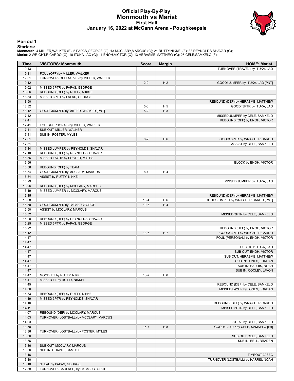#### **Official Play-By-Play Monmouth vs Marist First Half January 16, 2022 at McCann Arena - Poughkeepsie**



#### **Period 1**

<mark>Starters:</mark><br>Monmouth: 4 MILLER,WALKER (F); 5 PAPAS,GEORGE (G); 13 MCCLARY,MARCUS (G); 21 RUTTY,NIKKEI (F); 33 REYNOLDS,SHAVAR (G);<br>Marist: 2 WRIGHT,RICARDO (G); 10 ITUKA,JAO (G); 11 ENOH,VICTOR (C); 13 HERASME,MATTHEW (G);

| Time           | <b>VISITORS: Monmouth</b>              | <b>Score</b> | <b>Margin</b>  | <b>HOME: Marist</b>                          |
|----------------|----------------------------------------|--------------|----------------|----------------------------------------------|
| 19:43          |                                        |              |                | TURNOVER (TRAVEL) by ITUKA, JAO              |
| 19:31          | FOUL (OFF) by MILLER, WALKER           |              |                |                                              |
| 19:31          | TURNOVER (OFFENSIVE) by MILLER, WALKER |              |                |                                              |
| 19:12          |                                        | $2 - 0$      | H <sub>2</sub> | GOOD! JUMPER by ITUKA, JAO [PNT]             |
| 19:02          | MISSED 3PTR by PAPAS, GEORGE           |              |                |                                              |
| 18:56          | REBOUND (OFF) by RUTTY, NIKKEI         |              |                |                                              |
| 18:53          | MISSED 3PTR by PAPAS, GEORGE           |              |                |                                              |
| 18:50          |                                        |              |                | REBOUND (DEF) by HERASME, MATTHEW            |
| 18:32          |                                        | $5-0$        | H <sub>5</sub> | GOOD! 3PTR by ITUKA, JAO                     |
| 18:12          | GOOD! JUMPER by MILLER, WALKER [PNT]   | $5-2$        | $H_3$          |                                              |
| 17:42          |                                        |              |                | MISSED JUMPER by CELE, SAMKELO               |
| 17:41          |                                        |              |                | REBOUND (OFF) by ENOH, VICTOR                |
| 17:41          | FOUL (PERSONAL) by MILLER, WALKER      |              |                |                                              |
| 17:41          | SUB OUT: MILLER, WALKER                |              |                |                                              |
| 17:41          | SUB IN: FOSTER, MYLES                  |              |                |                                              |
| 17:31          |                                        | $8-2$        | H <sub>6</sub> | GOOD! 3PTR by WRIGHT, RICARDO                |
| 17:31          |                                        |              |                | ASSIST by CELE, SAMKELO                      |
| 17:14          | MISSED JUMPER by REYNOLDS, SHAVAR      |              |                |                                              |
| 17:10          | REBOUND (OFF) by REYNOLDS, SHAVAR      |              |                |                                              |
| 16:56          | MISSED LAYUP by FOSTER, MYLES          |              |                |                                              |
| 16:56          |                                        |              |                | BLOCK by ENOH, VICTOR                        |
| 16:56          | REBOUND (OFF) by TEAM                  |              |                |                                              |
| 16:54          | GOOD! JUMPER by MCCLARY, MARCUS        | $8 - 4$      | H <sub>4</sub> |                                              |
| 16:54          | ASSIST by RUTTY, NIKKEI                |              |                |                                              |
| 16:29          |                                        |              |                | MISSED JUMPER by ITUKA, JAO                  |
| 16:26          | REBOUND (DEF) by MCCLARY, MARCUS       |              |                |                                              |
| 16:19          | MISSED JUMPER by MCCLARY, MARCUS       |              |                |                                              |
| 16:15          |                                        |              |                | REBOUND (DEF) by HERASME, MATTHEW            |
| 16:08          |                                        | $10 - 4$     | H <sub>6</sub> | GOOD! JUMPER by WRIGHT, RICARDO [PNT]        |
| 15:50          | GOOD! JUMPER by PAPAS, GEORGE          | $10-6$       | H4             |                                              |
| 15:50          | ASSIST by MCCLARY, MARCUS              |              |                |                                              |
| 15:32          |                                        |              |                | MISSED 3PTR by CELE, SAMKELO                 |
| 15:28          | REBOUND (DEF) by REYNOLDS, SHAVAR      |              |                |                                              |
| 15:25          | MISSED 3PTR by PAPAS, GEORGE           |              |                |                                              |
| 15:22          |                                        |              |                | REBOUND (DEF) by ENOH, VICTOR                |
| 15:12          |                                        | $13-6$       | H 7            | GOOD! 3PTR by WRIGHT, RICARDO                |
| 14:47          |                                        |              |                | FOUL (PERSONAL) by ENOH, VICTOR              |
| 14:47<br>14:47 |                                        |              |                |                                              |
| 14:47          |                                        |              |                | SUB OUT: ITUKA, JAO<br>SUB OUT: ENOH, VICTOR |
| 14:47          |                                        |              |                | SUB OUT: HERASME, MATTHEW                    |
| 14:47          |                                        |              |                | SUB IN: JONES, JORDAN                        |
| 14:47          |                                        |              |                | SUB IN: HARRIS, NOAH                         |
| 14:47          |                                        |              |                | SUB IN: COOLEY, JAVON                        |
| 14:47          | GOOD! FT by RUTTY, NIKKEI              | $13 - 7$     | H <sub>6</sub> |                                              |
| 14:47          | MISSED FT by RUTTY, NIKKEI             |              |                |                                              |
| 14:45          |                                        |              |                | REBOUND (DEF) by CELE, SAMKELO               |
| 14:36          |                                        |              |                | MISSED LAYUP by JONES, JORDAN                |
| 14:33          | REBOUND (DEF) by RUTTY, NIKKEI         |              |                |                                              |
| 14:19          | MISSED 3PTR by REYNOLDS, SHAVAR        |              |                |                                              |
| 14:16          |                                        |              |                | REBOUND (DEF) by WRIGHT, RICARDO             |
| 14:11          |                                        |              |                | MISSED 3PTR by CELE, SAMKELO                 |
| 14:07          | REBOUND (DEF) by MCCLARY, MARCUS       |              |                |                                              |
| 14:03          | TURNOVER (LOSTBALL) by MCCLARY, MARCUS |              |                |                                              |
| 14:03          |                                        |              |                | STEAL by CELE, SAMKELO                       |
| 13:58          |                                        | $15 - 7$     | H <sub>8</sub> | GOOD! LAYUP by CELE, SAMKELO [FB]            |
| 13:36          | TURNOVER (LOSTBALL) by FOSTER, MYLES   |              |                |                                              |
| 13:36          |                                        |              |                | SUB OUT: CELE, SAMKELO                       |
| 13:36          |                                        |              |                | SUB IN: BELL, BRADEN                         |
| 13:36          | SUB OUT: MCCLARY, MARCUS               |              |                |                                              |
| 13:36          | SUB IN: CHAPUT, SAMUEL                 |              |                |                                              |
| 13:16          |                                        |              |                | TIMEOUT 30SEC                                |
| 13:10          |                                        |              |                | TURNOVER (LOSTBALL) by HARRIS, NOAH          |
| 13:10          | STEAL by PAPAS, GEORGE                 |              |                |                                              |
| 12:58          | TURNOVER (BADPASS) by PAPAS, GEORGE    |              |                |                                              |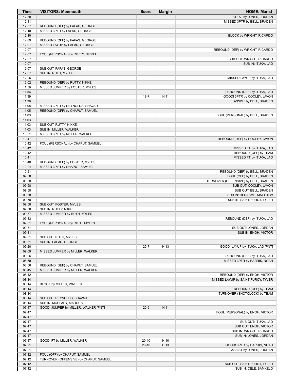| Time           | <b>VISITORS: Monmouth</b>                                      | <b>Score</b> | <b>Margin</b> | <b>HOME: Marist</b>                                        |
|----------------|----------------------------------------------------------------|--------------|---------------|------------------------------------------------------------|
| 12:58          |                                                                |              |               | STEAL by JONES, JORDAN                                     |
| 12:41          |                                                                |              |               | MISSED 3PTR by BELL, BRADEN                                |
| 12:37<br>12:10 | REBOUND (DEF) by PAPAS, GEORGE<br>MISSED 3PTR by PAPAS, GEORGE |              |               |                                                            |
| 12:10          |                                                                |              |               | <b>BLOCK by WRIGHT, RICARDO</b>                            |
| 12:09          | REBOUND (OFF) by PAPAS, GEORGE                                 |              |               |                                                            |
| 12:07          | MISSED LAYUP by PAPAS, GEORGE                                  |              |               |                                                            |
| 12:07          |                                                                |              |               | REBOUND (DEF) by WRIGHT, RICARDO                           |
| 12:07<br>12:07 | FOUL (PERSONAL) by RUTTY, NIKKEI                               |              |               |                                                            |
| 12:07          |                                                                |              |               | SUB OUT: WRIGHT, RICARDO<br>SUB IN: ITUKA, JAO             |
| 12:07          | SUB OUT: PAPAS, GEORGE                                         |              |               |                                                            |
| 12:07          | SUB IN: RUTH, MYLES                                            |              |               |                                                            |
| 12:06          |                                                                |              |               | MISSED LAYUP by ITUKA, JAO                                 |
| 12:02          | REBOUND (DEF) by RUTTY, NIKKEI                                 |              |               |                                                            |
| 11:59<br>11:56 | MISSED JUMPER by FOSTER, MYLES                                 |              |               |                                                            |
| 11:39          |                                                                | $18 - 7$     | H 11          | REBOUND (DEF) by ITUKA, JAO<br>GOOD! 3PTR by COOLEY, JAVON |
| 11:39          |                                                                |              |               | ASSIST by BELL, BRADEN                                     |
| 11:08          | MISSED 3PTR by REYNOLDS, SHAVAR                                |              |               |                                                            |
| 11:05          | REBOUND (OFF) by CHAPUT, SAMUEL                                |              |               |                                                            |
| 11:03          |                                                                |              |               | FOUL (PERSONAL) by BELL, BRADEN                            |
| 11:03          | SUB OUT: RUTTY, NIKKEI                                         |              |               |                                                            |
| 11:03<br>11:03 | SUB IN: MILLER, WALKER                                         |              |               |                                                            |
| 10:51          | MISSED 3PTR by MILLER, WALKER                                  |              |               |                                                            |
| 10:47          |                                                                |              |               | REBOUND (DEF) by COOLEY, JAVON                             |
| 10:42          | FOUL (PERSONAL) by CHAPUT, SAMUEL                              |              |               |                                                            |
| 10:42          |                                                                |              |               | MISSED FT by ITUKA, JAO                                    |
| 10:42<br>10:41 |                                                                |              |               | REBOUND (OFF) by TEAM<br>MISSED FT by ITUKA, JAO           |
| 10:40          | REBOUND (DEF) by FOSTER, MYLES                                 |              |               |                                                            |
| 10:24          | MISSED 3PTR by CHAPUT, SAMUEL                                  |              |               |                                                            |
| 10:21          |                                                                |              |               | REBOUND (DEF) by BELL, BRADEN                              |
| 09:58          |                                                                |              |               | FOUL (OFF) by BELL, BRADEN                                 |
| 09:58          |                                                                |              |               | TURNOVER (OFFENSIVE) by BELL, BRADEN                       |
| 09:58<br>09:58 |                                                                |              |               | SUB OUT: COOLEY, JAVON<br>SUB OUT: BELL, BRADEN            |
| 09:58          |                                                                |              |               | SUB IN: HERASME, MATTHEW                                   |
| 09:58          |                                                                |              |               | SUB IN: SAINT-FURCY, TYLER                                 |
| 09:58          | SUB OUT: FOSTER, MYLES                                         |              |               |                                                            |
| 09:58          | SUB IN: RUTTY, NIKKEI                                          |              |               |                                                            |
| 09:37          | MISSED JUMPER by RUTH, MYLES                                   |              |               |                                                            |
| 09:33<br>09:31 | FOUL (PERSONAL) by RUTH, MYLES                                 |              |               | REBOUND (DEF) by ITUKA, JAO                                |
| 09:31          |                                                                |              |               | SUB OUT: JONES, JORDAN                                     |
| 09:31          |                                                                |              |               | SUB IN: ENOH, VICTOR                                       |
| 09:31          | SUB OUT: RUTH, MYLES                                           |              |               |                                                            |
| 09:31          | SUB IN: PAPAS, GEORGE                                          |              |               |                                                            |
| 09:20<br>09:09 |                                                                | $20 - 7$     | H 13          | GOOD! LAYUP by ITUKA, JAO [PNT]                            |
| 09:06          | MISSED JUMPER by MILLER, WALKER                                |              |               | REBOUND (DEF) by ITUKA, JAO                                |
| 08:59          |                                                                |              |               | MISSED 3PTR by HARRIS, NOAH                                |
| 08:56          | REBOUND (DEF) by CHAPUT, SAMUEL                                |              |               |                                                            |
| 08:45          | MISSED JUMPER by MILLER, WALKER                                |              |               |                                                            |
| 08:42          |                                                                |              |               | REBOUND (DEF) by ENOH, VICTOR                              |
| 08:14<br>08:14 | BLOCK by MILLER, WALKER                                        |              |               | MISSED LAYUP by SAINT-FURCY, TYLER                         |
| 08:14          |                                                                |              |               | REBOUND (OFF) by TEAM                                      |
| 08:14          |                                                                |              |               | TURNOVER (SHOTCLOCK) by TEAM                               |
| 08:14          | SUB OUT: REYNOLDS, SHAVAR                                      |              |               |                                                            |
| 08:14          | SUB IN: MCCLARY, MARCUS                                        |              |               |                                                            |
| 07:47          | GOOD! JUMPER by MILLER, WALKER [PNT]                           | $20-9$       | H 11          |                                                            |
| 07:47<br>07:47 |                                                                |              |               | FOUL (PERSONAL) by ENOH, VICTOR                            |
| 07:47          |                                                                |              |               | SUB OUT: ITUKA, JAO                                        |
| 07:47          |                                                                |              |               | SUB OUT: ENOH, VICTOR                                      |
| 07:47          |                                                                |              |               | SUB IN: WRIGHT, RICARDO                                    |
| 07:47          |                                                                |              |               | SUB IN: JONES, JORDAN                                      |
| 07:47          | GOOD! FT by MILLER, WALKER                                     | $20-10$      | H 10          |                                                            |
| 07:21<br>07:21 |                                                                | $23-10$      | H 13          | GOOD! 3PTR by HARRIS, NOAH                                 |
| 07:12          | FOUL (OFF) by CHAPUT, SAMUEL                                   |              |               | ASSIST by JONES, JORDAN                                    |
| 07:12          | TURNOVER (OFFENSIVE) by CHAPUT, SAMUEL                         |              |               |                                                            |
| 07:12          |                                                                |              |               | SUB OUT: SAINT-FURCY, TYLER                                |
| 07:12          |                                                                |              |               | SUB IN: CELE, SAMKELO                                      |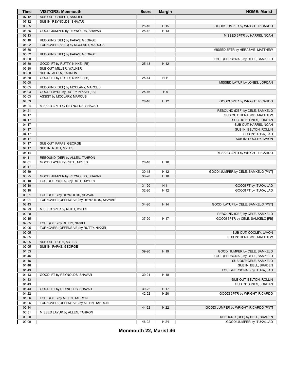| <b>Time</b>    | <b>VISITORS: Monmouth</b>                | <b>Score</b>       | <b>Margin</b> | <b>HOME: Marist</b>                              |
|----------------|------------------------------------------|--------------------|---------------|--------------------------------------------------|
| 07:12          | SUB OUT: CHAPUT, SAMUEL                  |                    |               |                                                  |
| 07:12          | SUB IN: REYNOLDS, SHAVAR                 |                    |               |                                                  |
| 06:55          |                                          | $25-10$            | H 15          | GOOD! JUMPER by WRIGHT, RICARDO                  |
| 06:36          | GOOD! JUMPER by REYNOLDS, SHAVAR         | $25 - 12$          | H 13          |                                                  |
| 06:13          |                                          |                    |               | MISSED 3PTR by HARRIS, NOAH                      |
| 06:10          | REBOUND (DEF) by PAPAS, GEORGE           |                    |               |                                                  |
| 06:02          | TURNOVER (3SEC) by MCCLARY, MARCUS       |                    |               |                                                  |
| 05:36          |                                          |                    |               | MISSED 3PTR by HERASME, MATTHEW                  |
| 05:32          | REBOUND (DEF) by PAPAS, GEORGE           |                    |               |                                                  |
| 05:30          |                                          |                    |               | FOUL (PERSONAL) by CELE, SAMKELO                 |
| 05:30          | GOOD! FT by RUTTY, NIKKEI [FB]           | $25-13$            | H 12          |                                                  |
| 05:30          | SUB OUT: MILLER, WALKER                  |                    |               |                                                  |
| 05:30          | SUB IN: ALLEN, TAHRON                    |                    |               |                                                  |
| 05:30          | GOOD! FT by RUTTY, NIKKEI [FB]           | $25 - 14$          | H 11          |                                                  |
| 05:08          |                                          |                    |               | MISSED LAYUP by JONES, JORDAN                    |
| 05:05          | REBOUND (DEF) by MCCLARY, MARCUS         |                    |               |                                                  |
| 05:03          | GOOD! LAYUP by RUTTY, NIKKEI [FB]        | $25 - 16$          | H9            |                                                  |
| 05:03          | ASSIST by MCCLARY, MARCUS                |                    |               |                                                  |
| 04:53          |                                          | $28-16$            | H 12          | GOOD! 3PTR by WRIGHT, RICARDO                    |
| 04:24          | MISSED 3PTR by REYNOLDS, SHAVAR          |                    |               |                                                  |
| 04:21          |                                          |                    |               | REBOUND (DEF) by CELE, SAMKELO                   |
| 04:17          |                                          |                    |               | SUB OUT: HERASME, MATTHEW                        |
| 04:17          |                                          |                    |               | SUB OUT: JONES, JORDAN                           |
| 04:17          |                                          |                    |               | SUB OUT: HARRIS, NOAH                            |
| 04:17          |                                          |                    |               | SUB IN: BELTON, ROLLIN                           |
| 04:17          |                                          |                    |               | SUB IN: ITUKA, JAO                               |
| 04:17          |                                          |                    |               | SUB IN: COOLEY, JAVON                            |
| 04:17          | SUB OUT: PAPAS, GEORGE                   |                    |               |                                                  |
| 04:17          | SUB IN: RUTH, MYLES                      |                    |               |                                                  |
| 04:14          |                                          |                    |               | MISSED 3PTR by WRIGHT, RICARDO                   |
| 04:11          | REBOUND (DEF) by ALLEN, TAHRON           |                    |               |                                                  |
| 04:01          | GOOD! LAYUP by RUTH, MYLES               | 28-18              | H 10          |                                                  |
| 03:47          |                                          |                    |               |                                                  |
| 03:39          |                                          | $30 - 18$          | H 12          | GOOD! JUMPER by CELE, SAMKELO [PNT]              |
| 03:25          | GOOD! JUMPER by REYNOLDS, SHAVAR         | $30 - 20$          | H 10          |                                                  |
| 03:10<br>03:10 | FOUL (PERSONAL) by RUTH, MYLES           |                    |               |                                                  |
| 03:10          |                                          | $31 - 20$<br>32-20 | H 11<br>H 12  | GOOD! FT by ITUKA, JAO<br>GOOD! FT by ITUKA, JAO |
| 03:01          | FOUL (OFF) by REYNOLDS, SHAVAR           |                    |               |                                                  |
| 03:01          | TURNOVER (OFFENSIVE) by REYNOLDS, SHAVAR |                    |               |                                                  |
| 02:43          |                                          | $34 - 20$          | H 14          | GOOD! LAYUP by CELE, SAMKELO [PNT]               |
| 02:23          | MISSED 3PTR by RUTH, MYLES               |                    |               |                                                  |
| 02:20          |                                          |                    |               | REBOUND (DEF) by CELE, SAMKELO                   |
| 02:15          |                                          | 37-20              | H 17          | GOOD! 3PTR by CELE, SAMKELO [FB]                 |
| 02:05          | FOUL (OFF) by RUTTY, NIKKEI              |                    |               |                                                  |
| 02:05          | TURNOVER (OFFENSIVE) by RUTTY, NIKKEI    |                    |               |                                                  |
| 02:05          |                                          |                    |               | SUB OUT: COOLEY, JAVON                           |
| 02:05          |                                          |                    |               | SUB IN: HERASME, MATTHEW                         |
| 02:05          | SUB OUT: RUTH, MYLES                     |                    |               |                                                  |
| 02:05          | SUB IN: PAPAS, GEORGE                    |                    |               |                                                  |
| 01:53          |                                          | 39-20              | H 19          | GOOD! JUMPER by CELE, SAMKELO                    |
| 01:46          |                                          |                    |               | FOUL (PERSONAL) by CELE, SAMKELO                 |
| 01:46          |                                          |                    |               | SUB OUT: CELE, SAMKELO                           |
| 01:46          |                                          |                    |               | SUB IN: BELL, BRADEN                             |
| 01:43          |                                          |                    |               | FOUL (PERSONAL) by ITUKA, JAO                    |
| 01:43          | GOOD! FT by REYNOLDS, SHAVAR             | 39-21              | H 18          |                                                  |
| 01:43          |                                          |                    |               | SUB OUT: BELTON, ROLLIN                          |
| 01:43          |                                          |                    |               | SUB IN: JONES, JORDAN                            |
| 01:43          | GOOD! FT by REYNOLDS, SHAVAR             | 39-22              | H 17          |                                                  |
| 01:22          |                                          | 42-22              | H 20          | GOOD! 3PTR by WRIGHT, RICARDO                    |
| 01:06          | FOUL (OFF) by ALLEN, TAHRON              |                    |               |                                                  |
| 01:06          | TURNOVER (OFFENSIVE) by ALLEN, TAHRON    |                    |               |                                                  |
| 00:44          |                                          | 44-22              | H 22          | GOOD! JUMPER by WRIGHT, RICARDO [PNT]            |
| 00:31          | MISSED LAYUP by ALLEN, TAHRON            |                    |               |                                                  |
| 00:28          |                                          |                    |               | REBOUND (DEF) by BELL, BRADEN                    |
| 00:00          |                                          | 46-22              | H 24          | GOOD! JUMPER by ITUKA, JAO                       |

**Monmouth 22, Marist 46**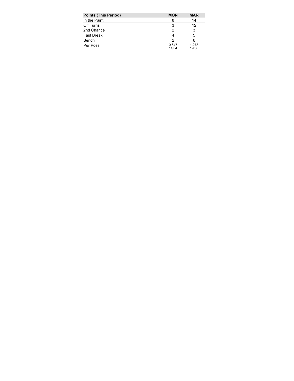| <b>Points (This Period)</b> | <b>MON</b>     | <b>MAR</b>     |
|-----------------------------|----------------|----------------|
| In the Paint                |                | 14             |
| Off Turns                   |                | 12             |
| 2nd Chance                  |                |                |
| <b>Fast Break</b>           |                | 5              |
| Bench                       |                | 6              |
| Per Poss                    | 0.647<br>11/34 | 1.278<br>19/36 |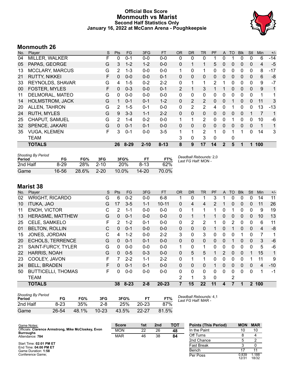### **Official Box Score Monmouth vs Marist Second Half Statistics Only January 16, 2022 at McCann Arena - Poughkeepsie**



# **Monmouth 26**

| No. | Player                  | S  | <b>Pts</b>    | FG       | 3FG      | <b>FT</b> | <b>OR</b>      | <b>DR</b>    | TR             | PF             | A            | <b>TO</b> | <b>Blk</b>   | Stl          | <b>Min</b> | $+/-$        |
|-----|-------------------------|----|---------------|----------|----------|-----------|----------------|--------------|----------------|----------------|--------------|-----------|--------------|--------------|------------|--------------|
| 04  | <b>MILLER, WALKER</b>   | F  | 0             | $0 - 1$  | $0 - 0$  | $0-0$     | 0              | 0            | 0              |                | 0            |           | 0            | 0            | 6          | $-14$        |
| 05  | PAPAS, GEORGE           | G  | 3             | $1 - 2$  | $1 - 2$  | $0 - 0$   | 0              | $\mathbf{1}$ | 1              | 5              | 0            | 0         | $\Omega$     | $\mathbf{0}$ | 4          | $-5$         |
| 13  | <b>MCCLARY, MARCUS</b>  | G  | 2             | $1 - 3$  | $0 - 0$  | $0 - 0$   | $\mathbf{1}$   | $\Omega$     | 1              | $\Omega$       | 0            | $\Omega$  | $\Omega$     | 0            | 8          | $-17$        |
| 21  | <b>RUTTY, NIKKEI</b>    | F  | $\mathbf{0}$  | $0 - 0$  | $0 - 0$  | $0 - 1$   | 0              | $\mathbf{0}$ | 0              | 0              | 0            | 0         | $\mathbf{0}$ | $\Omega$     | 6          | -8           |
| 33  | <b>REYNOLDS, SHAVAR</b> | G  | 4             | $1 - 5$  | $0 - 2$  | $2 - 2$   | 0              | 1            | 1              | $\overline{2}$ |              | 0         | $\Omega$     | 0            | 9          | $-7$         |
| 00  | <b>FOSTER, MYLES</b>    | F. | 0             | $0 - 3$  | $0 - 0$  | $0 - 1$   | $\overline{2}$ | $\mathbf{1}$ | 3              |                |              | 0         | $\Omega$     | $\Omega$     | 9          | $\mathbf{1}$ |
| 11  | DELMORAL, MATEO         | G  | 0             | $0 - 0$  | $0 - 0$  | $0 - 0$   | 0              | 0            | 0              | 0              | 0            | 0         | 0            | 0            | 1          | 1            |
| 14  | <b>HOLMSTROM, JACK</b>  | G  | 1.            | $0 - 1$  | $0 - 1$  | $1 - 2$   | 0              | 2            | 2              | $\Omega$       | 0            | 1         | $\Omega$     | $\Omega$     | 11         | 3            |
| 20  | ALLEN, TAHRON           | G  | 2             | $1 - 5$  | $0 - 1$  | $0-0$     | 0              | 2            | $\overline{2}$ | 4              | 0            |           | 0            | 0            | 13         | $-13$        |
| 24  | <b>RUTH, MYLES</b>      | G  | 9             | $3 - 3$  | $1 - 1$  | $2 - 2$   | 0              | $\mathbf{0}$ | $\mathbf{0}$   | $\Omega$       | 0            | 0         | $\Omega$     |              | 7          | 1            |
| 25  | CHAPUT, SAMUEL          | G  | $\mathcal{P}$ | $1 - 4$  | $0 - 2$  | $0 - 0$   | $\mathbf{1}$   | 1            | 2              | $\Omega$       | 0            |           | $\Omega$     | 0            | 10         | -6           |
| 32  | SPENCE, JAKARI          | G  | $\Omega$      | $0 - 1$  | $0 - 1$  | $0 - 0$   | 0              | $\Omega$     | 0              | $\Omega$       | 0            | $\Omega$  | $\Omega$     | 0            | 1          | $\mathbf{1}$ |
| 35  | <b>VUGA, KLEMEN</b>     | F  | 3             | $0 - 1$  | $0 - 0$  | $3-5$     |                | 1            | 2              | 1              | 0            |           |              | 0            | 14         | 3            |
|     | <b>TEAM</b>             |    |               |          |          |           | 3              | 0            | 3              | $\Omega$       |              | 0         |              |              |            |              |
|     | <b>TOTALS</b>           |    | 26            | $8 - 29$ | $2 - 10$ | $8 - 13$  | 8              | 9            | 17             | 14             | $\mathbf{2}$ | 5         |              | 1            | 100        |              |

| <b>Shooting By Period</b><br>Period | FG       | FG%   | 3FG      | 3FG%       |         | FT%   | Deadball Rebounds: 2,0<br>Last FG Half: MON - |
|-------------------------------------|----------|-------|----------|------------|---------|-------|-----------------------------------------------|
| 2nd Half                            | $8 - 29$ | 28%   | $2 - 10$ | <b>20%</b> | $8-13$  | 62%   |                                               |
| Game                                | 16-56    | 28.6% | $2 - 20$ | $10.0\%$   | $14-20$ | 70.0% |                                               |

# **Marist 38**

| No. | Player                    | S | Pts            | FG       | 3FG     | <b>FT</b> | <b>OR</b>    | <b>DR</b> | <b>TR</b>      | PF            | A        | <b>TO</b>      | <b>Blk</b>   | Stl      | Min            | $+/-$ |
|-----|---------------------------|---|----------------|----------|---------|-----------|--------------|-----------|----------------|---------------|----------|----------------|--------------|----------|----------------|-------|
| 02  | <b>WRIGHT, RICARDO</b>    | G | 6              | $0 - 2$  | $0-0$   | $6 - 8$   | 1            | 0         |                | 3             | 1        | 0              | 0            | 0        | 14             | 11    |
| 10  | <b>ITUKA, JAO</b>         | G | 17             | $3 - 5$  | $1 - 1$ | $10 - 11$ | $\mathbf{0}$ | 4         | 4              | $\mathcal{P}$ |          | 0              | 0            | 0        | 11             | 26    |
| 11  | ENOH, VICTOR              | С | 2              | $1 - 1$  | $0 - 0$ | $0 - 0$   | $\mathbf{0}$ | 1         |                |               | 0        |                | 0            | 0        | 9              | 19    |
| 13  | <b>HERASME, MATTHEW</b>   | G | 0              | $0 - 1$  | $0 - 0$ | $0 - 0$   | $\mathbf{0}$ |           |                |               | $\Omega$ | 0              | $\mathbf{0}$ | 0        | 10             | 13    |
| 25  | CELE, SAMKELO             | F | $\overline{2}$ | $1 - 2$  | $0 - 1$ | $0-0$     | $\mathbf{0}$ | 2         | $\overline{2}$ |               | 0        | $\overline{2}$ | 0            | 0        | 6              | 11    |
| 01  | <b>BELTON, ROLLIN</b>     | С | 0              | $0 - 1$  | $0 - 0$ | $0 - 0$   | $\mathbf{0}$ | 0         | $\mathbf{0}$   |               | 0        |                | $\mathbf 0$  | $\Omega$ | 4              | -8    |
| 15  | JONES, JORDAN             | С | 4              | $1 - 2$  | $0 - 0$ | $2 - 2$   | 3            | 0         | 3              | 0             | 0        | 0              |              | $\Omega$ | 7              | 1     |
| 20  | <b>ECHOLS, TERRENCE</b>   | G | $\Omega$       | $0 - 1$  | $0 - 1$ | $0-0$     | $\mathbf{0}$ | 0         | $\Omega$       | 0             | $\Omega$ |                | 0            | 0        | 3              | $-6$  |
| 21  | SAINT-FURCY, TYLER        | G | 0              | $0-0$    | $0 - 0$ | $0-0$     | 1            | 0         | 1              | 0             | 0        | 0              | 0            | 0        | 5              | -6    |
| 22  | HARRIS, NOAH              | G | 0              | $0 - 5$  | $0 - 3$ | $0 - 0$   | $\Omega$     | 5         | 5              | 1             | 2        | $\Omega$       | $\Omega$     | 1        | 15             | 1     |
| 23  | COOLEY, JAVON             | F |                | $2 - 2$  | $1 - 1$ | $2 - 2$   | $\Omega$     | 1         | 1              | 0             | 0        | 0              | 0            |          | 11             | 9     |
| 24  | <b>BELL, BRADEN</b>       | F | $\Omega$       | $0 - 1$  | $0 - 1$ | $0 - 0$   | $\mathbf{0}$ | 0         | $\mathbf{0}$   |               | 0        | 0              | $\mathbf{0}$ | 0        | $\overline{4}$ | $-10$ |
| 50  | <b>BUTTICELLI, THOMAS</b> | F | 0              | $0-0$    | $0 - 0$ | $0 - 0$   | $\Omega$     | $\Omega$  | $\Omega$       | 0             | $\Omega$ | 0              | $\Omega$     | $\Omega$ |                | $-1$  |
|     | <b>TEAM</b>               |   |                |          |         |           | 2            | 1         | 3              | 0             |          | 2              |              |          |                |       |
|     | <b>TOTALS</b>             |   | 38             | $8 - 23$ | $2 - 8$ | $20 - 23$ | 7            | 15        | 22             | 11            | 4        |                |              |          | 2 100          |       |

| <b>Shooting By Period</b><br>Period | FG       | FG%   | 3FG       | 3FG%  | <b>FT</b> | FT%   | Deadbal<br>Last FG |
|-------------------------------------|----------|-------|-----------|-------|-----------|-------|--------------------|
| 2nd Half                            | $8 - 23$ | 35%   | $2 - 8$   | 25%   | $20 - 23$ | 87%   |                    |
| Game                                | 26-54    | 48.1% | $10 - 23$ | 43.5% | $22 - 27$ | 81.5% |                    |

*Deadball Rebounds:* 4,1 *Last FG Half:* MAR -

| Game Notes:                                         | <b>Score</b> | 1st | 2 <sub>nd</sub> | TOT | <b>Points (This Period)</b> | <b>MON</b>     | <b>MAR</b>     |
|-----------------------------------------------------|--------------|-----|-----------------|-----|-----------------------------|----------------|----------------|
| Officials: Clarence Armstrong, Mike McCloskey, Evon | <b>MON</b>   | 22  | 26              | 48  | In the Paint                | 10             | 10             |
| <b>Burroughs</b><br>Attendance: 784                 | <b>MAR</b>   | 46  | 38              | 84  | Off Turns                   |                |                |
|                                                     |              |     |                 |     | 2nd Chance                  |                |                |
| Start Time: 02:01 PM ET<br>End Time: 04:00 PM ET    |              |     |                 |     | Fast Break                  |                |                |
| Game Duration: 1:58                                 |              |     |                 |     | Bench                       |                |                |
| Conference Game;                                    |              |     |                 |     | Per Poss                    | 0.839<br>12/31 | 1.188<br>18/32 |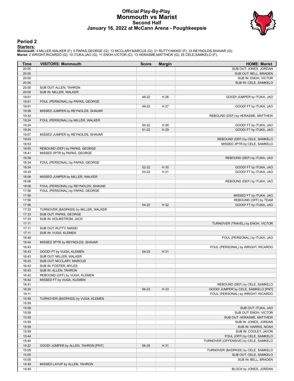### **Official Play-By-Play Monmouth vs Marist Second Half January 16, 2022 at McCann Arena - Poughkeepsie**



#### **Period 2**

<mark>Starters:</mark><br>Monmouth: 4 MILLER,WALKER (F); 5 PAPAS,GEORGE (G); 13 MCCLARY,MARCUS (G); 21 RUTTY,NIKKEI (F); 33 REYNOLDS,SHAVAR (G);<br>Marist: 2 WRIGHT,RICARDO (G); 10 ITUKA,JAO (G); 11 ENOH,VICTOR (C); 13 HERASME,MATTHEW (G);

| Time           | <b>VISITORS: Monmouth</b>            | <b>Score</b>       | <b>Margin</b> | <b>HOME: Marist</b>                              |
|----------------|--------------------------------------|--------------------|---------------|--------------------------------------------------|
| 20:00          |                                      |                    |               | SUB OUT: JONES, JORDAN                           |
| 20:00          |                                      |                    |               | SUB OUT: BELL, BRADEN                            |
| 20:00          |                                      |                    |               | SUB IN: ENOH, VICTOR                             |
| 20:00          |                                      |                    |               | SUB IN: CELE, SAMKELO                            |
| 20:00          | SUB OUT: ALLEN, TAHRON               |                    |               |                                                  |
| 20:00          | SUB IN: MILLER, WALKER               |                    |               |                                                  |
| 19:51          |                                      | 48-22              | H 26          | GOOD! JUMPER by ITUKA, JAO                       |
| 19:51          | FOUL (PERSONAL) by PAPAS, GEORGE     |                    |               |                                                  |
| 19:51          |                                      | 49-22              | H 27          | GOOD! FT by ITUKA, JAO                           |
| 19:38          | MISSED JUMPER by REYNOLDS, SHAVAR    |                    |               |                                                  |
| 19:32          |                                      |                    |               | REBOUND (DEF) by HERASME, MATTHEW                |
| 19:24<br>19:24 | FOUL (PERSONAL) by MILLER, WALKER    |                    |               |                                                  |
| 19:24          |                                      | 50-22<br>$51 - 22$ | H 28<br>H 29  | GOOD! FT by ITUKA, JAO<br>GOOD! FT by ITUKA, JAO |
| 19:07          | MISSED JUMPER by REYNOLDS, SHAVAR    |                    |               |                                                  |
| 19:03          |                                      |                    |               | REBOUND (DEF) by CELE, SAMKELO                   |
| 18:53          |                                      |                    |               | MISSED 3PTR by CELE, SAMKELO                     |
| 18:50          | REBOUND (DEF) by PAPAS, GEORGE       |                    |               |                                                  |
| 18:41          | MISSED 3PTR by PAPAS, GEORGE         |                    |               |                                                  |
| 18:38          |                                      |                    |               | REBOUND (DEF) by ITUKA, JAO                      |
| 18:34          | FOUL (PERSONAL) by PAPAS, GEORGE     |                    |               |                                                  |
| 18:34          |                                      | 52-22              | H 30          | GOOD! FT by ITUKA, JAO                           |
| 18:34          |                                      | 53-22              | H 31          | GOOD! FT by ITUKA, JAO                           |
| 18:08          | MISSED JUMPER by MILLER, WALKER      |                    |               |                                                  |
| 18:06          |                                      |                    |               | REBOUND (DEF) by ITUKA, JAO                      |
| 18:06          | FOUL (PERSONAL) by REYNOLDS, SHAVAR  |                    |               |                                                  |
| 17:56          | FOUL (PERSONAL) by PAPAS, GEORGE     |                    |               |                                                  |
| 17:56          |                                      |                    |               | MISSED FT by ITUKA, JAO                          |
| 17:56          |                                      |                    |               | REBOUND (OFF) by TEAM                            |
| 17:56          |                                      | 54-22              | H 32          | GOOD! FT by ITUKA, JAO                           |
| 17:33          | TURNOVER (BADPASS) by MILLER, WALKER |                    |               |                                                  |
| 17:33          | SUB OUT: PAPAS, GEORGE               |                    |               |                                                  |
| 17:33          | SUB IN: HOLMSTROM, JACK              |                    |               |                                                  |
| 17:11          |                                      |                    |               | TURNOVER (TRAVEL) by ENOH, VICTOR                |
| 17:11          | SUB OUT: RUTTY, NIKKEI               |                    |               |                                                  |
| 17:11          | SUB IN: VUGA, KLEMEN                 |                    |               |                                                  |
| 16:49          |                                      |                    |               | FOUL (PERSONAL) by ITUKA, JAO                    |
| 16:44<br>16:43 | MISSED 3PTR by REYNOLDS, SHAVAR      |                    |               | FOUL (PERSONAL) by WRIGHT, RICARDO               |
| 16:43          | GOOD! FT by VUGA, KLEMEN             | 54-23              | H 31          |                                                  |
| 16:43          | SUB OUT: MILLER, WALKER              |                    |               |                                                  |
| 16:43          | SUB OUT: MCCLARY, MARCUS             |                    |               |                                                  |
| 16:43          | SUB IN: FOSTER, MYLES                |                    |               |                                                  |
| 16:43          | SUB IN: ALLEN, TAHRON                |                    |               |                                                  |
| 16:42          | REBOUND (OFF) by VUGA, KLEMEN        |                    |               |                                                  |
| 16:42          | MISSED FT by VUGA, KLEMEN            |                    |               |                                                  |
| 16:41          |                                      |                    |               | REBOUND (DEF) by CELE, SAMKELO                   |
| 16:20          |                                      | 56-23              | H 33          | GOOD! JUMPER by CELE, SAMKELO [PNT]              |
| 16:11          |                                      |                    |               | FOUL (PERSONAL) by WRIGHT, RICARDO               |
| 15:59          | TURNOVER (BADPASS) by VUGA, KLEMEN   |                    |               |                                                  |
| 15:59          |                                      |                    |               |                                                  |
| 15:59          |                                      |                    |               | SUB OUT: ITUKA, JAO                              |
| 15:59          |                                      |                    |               | SUB OUT: ENOH, VICTOR                            |
| 15:59          |                                      |                    |               | SUB OUT: HERASME, MATTHEW                        |
| 15:59          |                                      |                    |               | SUB IN: JONES, JORDAN                            |
| 15:59          |                                      |                    |               | SUB IN: HARRIS, NOAH                             |
| 15:59          |                                      |                    |               | SUB IN: COOLEY, JAVON                            |
| 15:44          |                                      |                    |               | FOUL (OFF) by CELE, SAMKELO                      |
| 15:44          |                                      |                    |               | TURNOVER (OFFENSIVE) by CELE, SAMKELO            |
| 15:22          | GOOD! JUMPER by ALLEN, TAHRON [PNT]  | 56-25              | H 31          |                                                  |
| 15:05          |                                      |                    |               | TURNOVER (BADPASS) by CELE, SAMKELO              |
| 15:05          |                                      |                    |               | SUB OUT: CELE, SAMKELO                           |
| 15:05          |                                      |                    |               | SUB IN: BELL, BRADEN                             |
| 14:49          | MISSED LAYUP by ALLEN, TAHRON        |                    |               |                                                  |
| 14:49          |                                      |                    |               | BLOCK by JONES, JORDAN                           |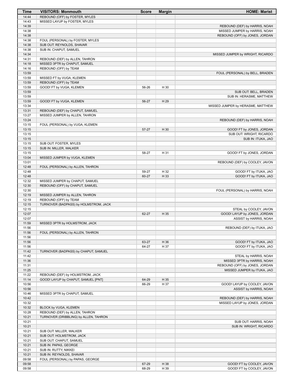| Time           | <b>VISITORS: Monmouth</b>                                    | <b>Score</b> | <b>Margin</b> | <b>HOME: Marist</b>                                            |
|----------------|--------------------------------------------------------------|--------------|---------------|----------------------------------------------------------------|
| 14:44          | REBOUND (OFF) by FOSTER, MYLES                               |              |               |                                                                |
| 14:43          | MISSED LAYUP by FOSTER, MYLES                                |              |               |                                                                |
| 14:39<br>14:38 |                                                              |              |               | REBOUND (DEF) by HARRIS, NOAH<br>MISSED JUMPER by HARRIS, NOAH |
| 14:38          |                                                              |              |               | REBOUND (OFF) by JONES, JORDAN                                 |
| 14:38          | FOUL (PERSONAL) by FOSTER, MYLES                             |              |               |                                                                |
| 14:38          | SUB OUT: REYNOLDS, SHAVAR                                    |              |               |                                                                |
| 14:38          | SUB IN: CHAPUT, SAMUEL                                       |              |               |                                                                |
| 14:34          |                                                              |              |               | MISSED JUMPER by WRIGHT, RICARDO                               |
| 14:31          | REBOUND (DEF) by ALLEN, TAHRON                               |              |               |                                                                |
| 14:18          | MISSED 3PTR by CHAPUT, SAMUEL                                |              |               |                                                                |
| 14:16<br>13:59 | REBOUND (OFF) by TEAM                                        |              |               | FOUL (PERSONAL) by BELL, BRADEN                                |
| 13:59          | MISSED FT by VUGA, KLEMEN                                    |              |               |                                                                |
| 13:59          | REBOUND (OFF) by TEAM                                        |              |               |                                                                |
| 13:59          | GOOD! FT by VUGA, KLEMEN                                     | 56-26        | H 30          |                                                                |
| 13:59          |                                                              |              |               | SUB OUT: BELL, BRADEN                                          |
| 13:59          |                                                              |              |               | SUB IN: HERASME, MATTHEW                                       |
| 13:59          | GOOD! FT by VUGA, KLEMEN                                     | 56-27        | H 29          |                                                                |
| 13:34<br>13:31 | REBOUND (DEF) by CHAPUT, SAMUEL                              |              |               | MISSED JUMPER by HERASME, MATTHEW                              |
| 13:27          | MISSED JUMPER by ALLEN, TAHRON                               |              |               |                                                                |
| 13:24          |                                                              |              |               | REBOUND (DEF) by HARRIS, NOAH                                  |
| 13:15          | FOUL (PERSONAL) by VUGA, KLEMEN                              |              |               |                                                                |
| 13:15          |                                                              | 57-27        | H 30          | GOOD! FT by JONES, JORDAN                                      |
| 13:15          |                                                              |              |               | SUB OUT: WRIGHT, RICARDO                                       |
| 13:15          |                                                              |              |               | SUB IN: ITUKA, JAO                                             |
| 13:15          | SUB OUT: FOSTER, MYLES                                       |              |               |                                                                |
| 13:15<br>13:15 | SUB IN: MILLER, WALKER                                       | 58-27        | H 31          | GOOD! FT by JONES, JORDAN                                      |
| 13:04          | MISSED JUMPER by VUGA, KLEMEN                                |              |               |                                                                |
| 13:01          |                                                              |              |               | REBOUND (DEF) by COOLEY, JAVON                                 |
| 12:48          | FOUL (PERSONAL) by ALLEN, TAHRON                             |              |               |                                                                |
| 12:48          |                                                              | 59-27        | H 32          | GOOD! FT by ITUKA, JAO                                         |
| 12:48          |                                                              | 60-27        | H 33          | GOOD! FT by ITUKA, JAO                                         |
| 12:32          | MISSED JUMPER by CHAPUT, SAMUEL                              |              |               |                                                                |
| 12:30<br>12:30 | REBOUND (OFF) by CHAPUT, SAMUEL                              |              |               | FOUL (PERSONAL) by HARRIS, NOAH                                |
| 12:19          | MISSED JUMPER by ALLEN, TAHRON                               |              |               |                                                                |
| 12:19          | REBOUND (OFF) by TEAM                                        |              |               |                                                                |
| 12:15          | TURNOVER (BADPASS) by HOLMSTROM, JACK                        |              |               |                                                                |
| 12:15          |                                                              |              |               | STEAL by COOLEY, JAVON                                         |
| 12:07          |                                                              | 62-27        | H 35          | GOOD! LAYUP by JONES, JORDAN                                   |
| 12:07          |                                                              |              |               | ASSIST by HARRIS, NOAH                                         |
| 11:59          | MISSED 3PTR by HOLMSTROM, JACK                               |              |               |                                                                |
| 11:56<br>11:56 | FOUL (PERSONAL) by ALLEN, TAHRON                             |              |               | REBOUND (DEF) by ITUKA, JAO                                    |
| 11:56          |                                                              |              |               |                                                                |
| 11:56          |                                                              | 63-27        | H 36          | GOOD! FT by ITUKA, JAO                                         |
| 11:56          |                                                              | 64-27        | H 37          | GOOD! FT by ITUKA, JAO                                         |
| 11:42          | TURNOVER (BADPASS) by CHAPUT, SAMUEL                         |              |               |                                                                |
| 11:42          |                                                              |              |               | STEAL by HARRIS, NOAH                                          |
| 11:36          |                                                              |              |               | MISSED 3PTR by HARRIS, NOAH                                    |
| 11:31<br>11:25 |                                                              |              |               | REBOUND (OFF) by JONES, JORDAN                                 |
| 11:22          | REBOUND (DEF) by HOLMSTROM, JACK                             |              |               | MISSED JUMPER by ITUKA, JAO                                    |
| 11:14          | GOOD! LAYUP by CHAPUT, SAMUEL [PNT]                          | 64-29        | H 35          |                                                                |
| 10:56          |                                                              | 66-29        | H 37          | GOOD! LAYUP by COOLEY, JAVON                                   |
| 10:56          |                                                              |              |               | ASSIST by HARRIS, NOAH                                         |
| 10:46          | MISSED 3PTR by CHAPUT, SAMUEL                                |              |               |                                                                |
| 10:42          |                                                              |              |               | REBOUND (DEF) by HARRIS, NOAH                                  |
| 10:32          |                                                              |              |               | MISSED LAYUP by JONES, JORDAN                                  |
| 10:32<br>10:28 | BLOCK by VUGA, KLEMEN<br>REBOUND (DEF) by ALLEN, TAHRON      |              |               |                                                                |
| 10:21          | TURNOVER (DRIBBLING) by ALLEN, TAHRON                        |              |               |                                                                |
| 10:21          |                                                              |              |               | SUB OUT: HARRIS, NOAH                                          |
| 10:21          |                                                              |              |               | SUB IN: WRIGHT, RICARDO                                        |
| 10:21          | SUB OUT: MILLER, WALKER                                      |              |               |                                                                |
| 10:21          | SUB OUT: HOLMSTROM, JACK                                     |              |               |                                                                |
| 10:21          | SUB OUT: CHAPUT, SAMUEL                                      |              |               |                                                                |
| 10:21          | SUB IN: PAPAS, GEORGE                                        |              |               |                                                                |
| 10:21          | SUB IN: RUTTY, NIKKEI                                        |              |               |                                                                |
| 10:21<br>09:58 | SUB IN: REYNOLDS, SHAVAR<br>FOUL (PERSONAL) by PAPAS, GEORGE |              |               |                                                                |
| 09:58          |                                                              | 67-29        | H 38          | GOOD! FT by COOLEY, JAVON                                      |
| 09:58          |                                                              | 68-29        | H 39          | GOOD! FT by COOLEY, JAVON                                      |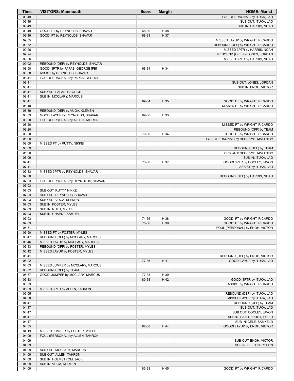| <b>Time</b> | <b>VISITORS: Monmouth</b>           | <b>Score</b> | <b>Margin</b> | <b>HOME: Marist</b>                 |
|-------------|-------------------------------------|--------------|---------------|-------------------------------------|
| 09:49       |                                     |              |               | FOUL (PERSONAL) by ITUKA, JAO       |
| 09:49       |                                     |              |               | SUB OUT: ITUKA, JAO                 |
| 09:49       |                                     |              |               | SUB IN: HARRIS, NOAH                |
| 09:49       | GOOD! FT by REYNOLDS, SHAVAR        | 68-30        | H 38          |                                     |
| 09:49       | GOOD! FT by REYNOLDS, SHAVAR        | 68-31        | H 37          |                                     |
| 09:35       |                                     |              |               | MISSED LAYUP by WRIGHT, RICARDO     |
| 09:32       |                                     |              |               | REBOUND (OFF) by WRIGHT, RICARDO    |
| 09:26       |                                     |              |               | MISSED 3PTR by HARRIS, NOAH         |
| 09:24       |                                     |              |               | REBOUND (OFF) by JONES, JORDAN      |
| 09:06       |                                     |              |               | MISSED 3PTR by HARRIS, NOAH         |
| 09:02       | REBOUND (DEF) by REYNOLDS, SHAVAR   |              |               |                                     |
| 08:58       | GOOD! 3PTR by PAPAS, GEORGE [FB]    | 68-34        | H 34          |                                     |
| 08:58       | ASSIST by REYNOLDS, SHAVAR          |              |               |                                     |
| 08:41       | FOUL (PERSONAL) by PAPAS, GEORGE    |              |               |                                     |
| 08:41       |                                     |              |               | SUB OUT: JONES, JORDAN              |
| 08:41       |                                     |              |               | SUB IN: ENOH, VICTOR                |
| 08:41       | SUB OUT: PAPAS, GEORGE              |              |               |                                     |
| 08:41       | SUB IN: MCCLARY, MARCUS             |              |               |                                     |
| 08:41       |                                     | 69-34        | H 35          | GOOD! FT by WRIGHT, RICARDO         |
| 08:40       |                                     |              |               | MISSED FT by WRIGHT, RICARDO        |
| 08:39       | REBOUND (DEF) by VUGA, KLEMEN       |              |               |                                     |
| 08:33       | GOOD! LAYUP by REYNOLDS, SHAVAR     | 69-36        | H 33          |                                     |
| 08:20       | FOUL (PERSONAL) by ALLEN, TAHRON    |              |               |                                     |
| 08:20       |                                     |              |               | MISSED FT by WRIGHT, RICARDO        |
| 08:20       |                                     |              |               | REBOUND (OFF) by TEAM               |
| 08:20       |                                     | 70-36        | H 34          | GOOD! FT by WRIGHT, RICARDO         |
| 08:09       |                                     |              |               | FOUL (PERSONAL) by HERASME, MATTHEW |
| 08:09       | MISSED FT by RUTTY, NIKKEI          |              |               |                                     |
| 08:09       |                                     |              |               | REBOUND (DEF) by TEAM               |
| 08:09       |                                     |              |               | SUB OUT: HERASME, MATTHEW           |
| 08:09       |                                     |              |               | SUB IN: ITUKA, JAO                  |
| 07:41       |                                     | 73-36        | H 37          | GOOD! 3PTR by COOLEY, JAVON         |
| 07:41       |                                     |              |               | ASSIST by ITUKA, JAO                |
| 07:33       | MISSED 3PTR by REYNOLDS, SHAVAR     |              |               |                                     |
| 07:30       |                                     |              |               | REBOUND (DEF) by HARRIS, NOAH       |
| 07:03       | FOUL (PERSONAL) by REYNOLDS, SHAVAR |              |               |                                     |
| 07:03       |                                     |              |               |                                     |
| 07:03       | SUB OUT: RUTTY, NIKKEI              |              |               |                                     |
| 07:03       | SUB OUT: REYNOLDS, SHAVAR           |              |               |                                     |
| 07:03       | SUB OUT: VUGA, KLEMEN               |              |               |                                     |
| 07:03       | SUB IN: FOSTER, MYLES               |              |               |                                     |
| 07:03       | SUB IN: RUTH, MYLES                 |              |               |                                     |
| 07:03       | SUB IN: CHAPUT, SAMUEL              |              |               |                                     |
| 07:03       |                                     | 74-36        | H 38          | GOOD! FT by WRIGHT, RICARDO         |
| 07:03       |                                     | 75-36        | H 39          | GOOD! FT by WRIGHT, RICARDO         |
| 06:51       |                                     |              |               | FOUL (PERSONAL) by ENOH, VICTOR     |
| 06:50       | MISSED FT by FOSTER, MYLES          |              |               |                                     |
| 06:47       | REBOUND (OFF) by MCCLARY, MARCUS    |              |               |                                     |
| 06:46       | MISSED LAYUP by MCCLARY, MARCUS     |              |               |                                     |
| 06:43       | REBOUND (OFF) by FOSTER, MYLES      |              |               |                                     |
| 06:42       | MISSED LAYUP by FOSTER, MYLES       |              |               |                                     |
| 06:41       |                                     |              |               | REBOUND (DEF) by ENOH, VICTOR       |
| 06:22       |                                     | 77-36        | H 41          | GOOD! LAYUP by ITUKA, JAO           |
| 06:03       | MISSED JUMPER by MCCLARY, MARCUS    |              |               |                                     |
| 06:02       | REBOUND (OFF) by TEAM               |              |               |                                     |
| 05:57       | GOOD! JUMPER by MCCLARY, MARCUS     | 77-38        | H 39          |                                     |
| 05:33       |                                     | 80-38        | H 42          | GOOD! 3PTR by ITUKA, JAO            |
| 05:33       |                                     |              |               | ASSIST by WRIGHT, RICARDO           |
| 05:09       | MISSED 3PTR by ALLEN, TAHRON        |              |               |                                     |
| 05:05       |                                     |              |               | REBOUND (DEF) by ITUKA, JAO         |
| 04:50       |                                     |              |               | MISSED LAYUP by ITUKA, JAO          |
| 04:47       |                                     |              |               | REBOUND (OFF) by TEAM               |
| 04:47       |                                     |              |               | SUB OUT: ITUKA, JAO                 |
| 04:47       |                                     |              |               | SUB OUT: COOLEY, JAVON              |
| 04:47       |                                     |              |               | SUB IN: SAINT-FURCY, TYLER          |
| 04:47       |                                     |              |               | SUB IN: CELE, SAMKELO               |
| 04:35       |                                     | 82-38        | H 44          | GOOD! LAYUP by ENOH, VICTOR         |
| 04:13       | MISSED JUMPER by FOSTER, MYLES      |              |               |                                     |
| 04:09       | FOUL (PERSONAL) by ALLEN, TAHRON    |              |               |                                     |
| 04:09       |                                     |              |               | SUB OUT: ENOH, VICTOR               |
| 04:09       |                                     |              |               | SUB IN: BELTON, ROLLIN              |
| 04:09       | SUB OUT: MCCLARY, MARCUS            |              |               |                                     |
| 04:09       | SUB OUT: ALLEN, TAHRON              |              |               |                                     |
| 04:09       | SUB IN: HOLMSTROM, JACK             |              |               |                                     |
| 04:09       | SUB IN: VUGA, KLEMEN                |              |               |                                     |
| 04:09       |                                     | 83-38        | H 45          | GOOD! FT by WRIGHT, RICARDO         |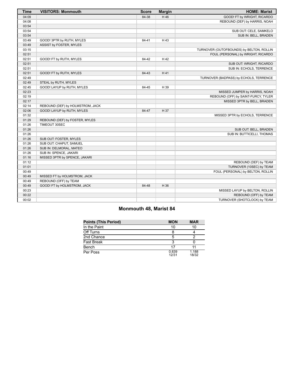| <b>Time</b> | <b>VISITORS: Monmouth</b>        | <b>Score</b> | <b>Margin</b> | <b>HOME: Marist</b>                      |
|-------------|----------------------------------|--------------|---------------|------------------------------------------|
| 04:09       |                                  | 84-38        | H 46          | GOOD! FT by WRIGHT, RICARDO              |
| 04:08       |                                  |              |               | REBOUND (DEF) by HARRIS, NOAH            |
| 03:54       |                                  |              |               |                                          |
| 03:54       |                                  |              |               | SUB OUT: CELE, SAMKELO                   |
| 03:54       |                                  |              |               | SUB IN: BELL, BRADEN                     |
| 03:49       | GOOD! 3PTR by RUTH, MYLES        | 84-41        | H 43          |                                          |
| 03:49       | ASSIST by FOSTER, MYLES          |              |               |                                          |
| 03:15       |                                  |              |               | TURNOVER (OUTOFBOUNDS) by BELTON, ROLLIN |
| 02:51       |                                  |              |               | FOUL (PERSONAL) by WRIGHT, RICARDO       |
| 02:51       | GOOD! FT by RUTH, MYLES          | 84-42        | H 42          |                                          |
| 02:51       |                                  |              |               | SUB OUT: WRIGHT, RICARDO                 |
| 02:51       |                                  |              |               | SUB IN: ECHOLS, TERRENCE                 |
| 02:51       | GOOD! FT by RUTH, MYLES          | 84-43        | H 41          |                                          |
| 02:49       |                                  |              |               | TURNOVER (BADPASS) by ECHOLS, TERRENCE   |
| 02:49       | STEAL by RUTH, MYLES             |              |               |                                          |
| 02:45       | GOOD! LAYUP by RUTH, MYLES       | 84-45        | H 39          |                                          |
| 02:23       |                                  |              |               | MISSED JUMPER by HARRIS, NOAH            |
| 02:19       |                                  |              |               | REBOUND (OFF) by SAINT-FURCY, TYLER      |
| 02:17       |                                  |              |               | MISSED 3PTR by BELL, BRADEN              |
| 02:14       | REBOUND (DEF) by HOLMSTROM, JACK |              |               |                                          |
| 02:06       | GOOD! LAYUP by RUTH, MYLES       | 84-47        | H 37          |                                          |
| 01:32       |                                  |              |               | MISSED 3PTR by ECHOLS, TERRENCE          |
| 01:29       | REBOUND (DEF) by FOSTER, MYLES   |              |               |                                          |
| 01:26       | TIMEOUT 30SEC                    |              |               |                                          |
| 01:26       |                                  |              |               | SUB OUT: BELL, BRADEN                    |
| 01:26       |                                  |              |               | SUB IN: BUTTICELLI, THOMAS               |
| 01:26       | SUB OUT: FOSTER, MYLES           |              |               |                                          |
| 01:26       | SUB OUT: CHAPUT, SAMUEL          |              |               |                                          |
| 01:26       | SUB IN: DELMORAL, MATEO          |              |               |                                          |
| 01:26       | SUB IN: SPENCE, JAKARI           |              |               |                                          |
| 01:16       | MISSED 3PTR by SPENCE, JAKARI    |              |               |                                          |
| 01:12       |                                  |              |               | REBOUND (DEF) by TEAM                    |
| 01:01       |                                  |              |               | TURNOVER (10SEC) by TEAM                 |
| 00:49       |                                  |              |               | FOUL (PERSONAL) by BELTON, ROLLIN        |
| 00:49       | MISSED FT by HOLMSTROM, JACK     |              |               |                                          |
| 00:49       | REBOUND (OFF) by TEAM            |              |               |                                          |
| 00:49       | GOOD! FT by HOLMSTROM, JACK      | 84-48        | H 36          |                                          |
| 00:23       |                                  |              |               | MISSED LAYUP by BELTON, ROLLIN           |
| 00:22       |                                  |              |               | REBOUND (OFF) by TEAM                    |
| 00:02       |                                  |              |               | TURNOVER (SHOTCLOCK) by TEAM             |

# **Monmouth 48, Marist 84**

| <b>Points (This Period)</b> | <b>MON</b>     | <b>MAR</b>     |
|-----------------------------|----------------|----------------|
| In the Paint                | 10             | 10             |
| Off Turns                   |                |                |
| 2nd Chance                  |                |                |
| <b>Fast Break</b>           |                |                |
| Bench                       | 17             |                |
| Per Poss                    | 0.839<br>12/31 | 1.188<br>18/32 |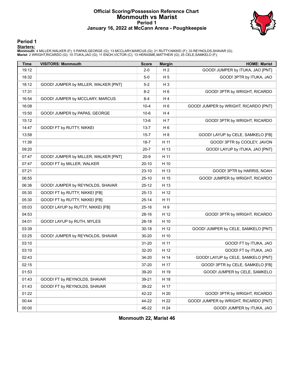#### **Official Scoring/Possession Reference Chart Monmouth vs Marist Period 1 January 16, 2022 at McCann Arena - Poughkeepsie**



#### **Period 1**

<mark>Starters:</mark><br>Monmouth: 4 MILLER,WALKER (F); 5 PAPAS,GEORGE (G); 13 MCCLARY,MARCUS (G); 21 RUTTY,NIKKEI (F); 33 REYNOLDS,SHAVAR (G);<br>Marist: 2 WRIGHT,RICARDO (G); 10 ITUKA,JAO (G); 11 ENOH,VICTOR (C); 13 HERASME,MATTHEW (G);

| <b>Time</b> | <b>VISITORS: Monmouth</b>            | <b>Score</b> | <b>Margin</b>  | <b>HOME: Marist</b>                   |
|-------------|--------------------------------------|--------------|----------------|---------------------------------------|
| 19:12       |                                      | $2-0$        | H <sub>2</sub> | GOOD! JUMPER by ITUKA, JAO [PNT]      |
| 18:32       |                                      | $5-0$        | H <sub>5</sub> | GOOD! 3PTR by ITUKA, JAO              |
| 18:12       | GOOD! JUMPER by MILLER, WALKER [PNT] | $5-2$        | $H_3$          |                                       |
| 17:31       |                                      | 8-2          | H <sub>6</sub> | GOOD! 3PTR by WRIGHT, RICARDO         |
| 16:54       | GOOD! JUMPER by MCCLARY, MARCUS      | $8 - 4$      | H4             |                                       |
| 16:08       |                                      | $10 - 4$     | H <sub>6</sub> | GOOD! JUMPER by WRIGHT, RICARDO [PNT] |
| 15:50       | GOOD! JUMPER by PAPAS, GEORGE        | $10-6$       | H4             |                                       |
| 15:12       |                                      | $13-6$       | H 7            | GOOD! 3PTR by WRIGHT, RICARDO         |
| 14:47       | GOOD! FT by RUTTY, NIKKEI            | $13 - 7$     | H <sub>6</sub> |                                       |
| 13:58       |                                      | $15 - 7$     | H <sub>8</sub> | GOOD! LAYUP by CELE, SAMKELO [FB]     |
| 11:39       |                                      | $18 - 7$     | H 11           | GOOD! 3PTR by COOLEY, JAVON           |
| 09:20       |                                      | $20 - 7$     | H 13           | GOOD! LAYUP by ITUKA, JAO [PNT]       |
| 07:47       | GOOD! JUMPER by MILLER, WALKER [PNT] | $20 - 9$     | H 11           |                                       |
| 07:47       | GOOD! FT by MILLER, WALKER           | $20-10$      | H 10           |                                       |
| 07:21       |                                      | $23-10$      | H 13           | GOOD! 3PTR by HARRIS, NOAH            |
| 06:55       |                                      | $25-10$      | H 15           | GOOD! JUMPER by WRIGHT, RICARDO       |
| 06:36       | GOOD! JUMPER by REYNOLDS, SHAVAR     | $25 - 12$    | H 13           |                                       |
| 05:30       | GOOD! FT by RUTTY, NIKKEI [FB]       | $25-13$      | H 12           |                                       |
| 05:30       | GOOD! FT by RUTTY, NIKKEI [FB]       | $25 - 14$    | H 11           |                                       |
| 05:03       | GOOD! LAYUP by RUTTY, NIKKEI [FB]    | $25 - 16$    | H 9            |                                       |
| 04:53       |                                      | 28-16        | H 12           | GOOD! 3PTR by WRIGHT, RICARDO         |
| 04:01       | GOOD! LAYUP by RUTH, MYLES           | 28-18        | H 10           |                                       |
| 03:39       |                                      | $30 - 18$    | H 12           | GOOD! JUMPER by CELE, SAMKELO [PNT]   |
| 03:25       | GOOD! JUMPER by REYNOLDS, SHAVAR     | 30-20        | H 10           |                                       |
| 03:10       |                                      | $31 - 20$    | H 11           | GOOD! FT by ITUKA, JAO                |
| 03:10       |                                      | 32-20        | H 12           | GOOD! FT by ITUKA, JAO                |
| 02:43       |                                      | 34-20        | H 14           | GOOD! LAYUP by CELE, SAMKELO [PNT]    |
| 02:15       |                                      | 37-20        | H 17           | GOOD! 3PTR by CELE, SAMKELO [FB]      |
| 01:53       |                                      | 39-20        | H 19           | GOOD! JUMPER by CELE, SAMKELO         |
| 01:43       | GOOD! FT by REYNOLDS, SHAVAR         | 39-21        | H 18           |                                       |
| 01:43       | GOOD! FT by REYNOLDS, SHAVAR         | 39-22        | H 17           |                                       |
| 01:22       |                                      | 42-22        | H 20           | GOOD! 3PTR by WRIGHT, RICARDO         |
| 00:44       |                                      | 44-22        | H 22           | GOOD! JUMPER by WRIGHT, RICARDO [PNT] |
| 00:00       |                                      | 46-22        | H 24           | GOOD! JUMPER by ITUKA, JAO            |

**Monmouth 22, Marist 46**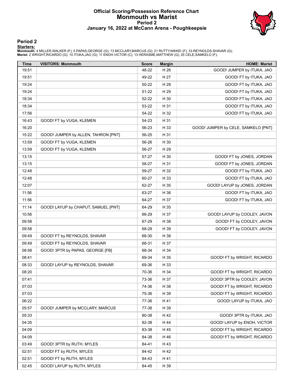#### **Official Scoring/Possession Reference Chart Monmouth vs Marist Period 2 January 16, 2022 at McCann Arena - Poughkeepsie**



#### **Period 2**

<mark>Starters:</mark><br>Monmouth: 4 MILLER,WALKER (F); 5 PAPAS,GEORGE (G); 13 MCCLARY,MARCUS (G); 21 RUTTY,NIKKEI (F); 33 REYNOLDS,SHAVAR (G);<br>Marist: 2 WRIGHT,RICARDO (G); 10 ITUKA,JAO (G); 11 ENOH,VICTOR (C); 13 HERASME,MATTHEW (G);

| <b>Time</b> | <b>VISITORS: Monmouth</b>           | <b>Score</b> | <b>Margin</b> | <b>HOME: Marist</b>                 |
|-------------|-------------------------------------|--------------|---------------|-------------------------------------|
| 19:51       |                                     | 48-22        | H 26          | GOOD! JUMPER by ITUKA, JAO          |
| 19:51       |                                     | 49-22        | H 27          | GOOD! FT by ITUKA, JAO              |
| 19:24       |                                     | 50-22        | H 28          | GOOD! FT by ITUKA, JAO              |
| 19:24       |                                     | 51-22        | H 29          | GOOD! FT by ITUKA, JAO              |
| 18:34       |                                     | 52-22        | H 30          | GOOD! FT by ITUKA, JAO              |
| 18:34       |                                     | 53-22        | H 31          | GOOD! FT by ITUKA, JAO              |
| 17:56       |                                     | 54-22        | H 32          | GOOD! FT by ITUKA, JAO              |
| 16:43       | GOOD! FT by VUGA, KLEMEN            | 54-23        | H 31          |                                     |
| 16:20       |                                     | 56-23        | H 33          | GOOD! JUMPER by CELE, SAMKELO [PNT] |
| 15:22       | GOOD! JUMPER by ALLEN, TAHRON [PNT] | 56-25        | H 31          |                                     |
| 13:59       | GOOD! FT by VUGA, KLEMEN            | 56-26        | H 30          |                                     |
| 13:59       | GOOD! FT by VUGA, KLEMEN            | 56-27        | H 29          |                                     |
| 13:15       |                                     | 57-27        | H 30          | GOOD! FT by JONES, JORDAN           |
| 13:15       |                                     | 58-27        | H 31          | GOOD! FT by JONES, JORDAN           |
| 12:48       |                                     | 59-27        | H 32          | GOOD! FT by ITUKA, JAO              |
| 12:48       |                                     | 60-27        | H 33          | GOOD! FT by ITUKA, JAO              |
| 12:07       |                                     | 62-27        | H 35          | GOOD! LAYUP by JONES, JORDAN        |
| 11:56       |                                     | 63-27        | H 36          | GOOD! FT by ITUKA, JAO              |
| 11:56       |                                     | 64-27        | H 37          | GOOD! FT by ITUKA, JAO              |
| 11:14       | GOOD! LAYUP by CHAPUT, SAMUEL [PNT] | 64-29        | H 35          |                                     |
| 10:56       |                                     | 66-29        | H 37          | GOOD! LAYUP by COOLEY, JAVON        |
| 09:58       |                                     | 67-29        | H 38          | GOOD! FT by COOLEY, JAVON           |
| 09:58       |                                     | 68-29        | H 39          | GOOD! FT by COOLEY, JAVON           |
| 09:49       | GOOD! FT by REYNOLDS, SHAVAR        | 68-30        | H 38          |                                     |
| 09:49       | GOOD! FT by REYNOLDS, SHAVAR        | 68-31        | H 37          |                                     |
| 08:58       | GOOD! 3PTR by PAPAS, GEORGE [FB]    | 68-34        | H 34          |                                     |
| 08:41       |                                     | 69-34        | H 35          | GOOD! FT by WRIGHT, RICARDO         |
| 08:33       | GOOD! LAYUP by REYNOLDS, SHAVAR     | 69-36        | H 33          |                                     |
| 08:20       |                                     | 70-36        | H 34          | GOOD! FT by WRIGHT, RICARDO         |
| 07:41       |                                     | 73-36        | H 37          | GOOD! 3PTR by COOLEY, JAVON         |
| 07:03       |                                     | 74-36        | H 38          | GOOD! FT by WRIGHT, RICARDO         |
| 07:03       |                                     | 75-36        | H 39          | GOOD! FT by WRIGHT, RICARDO         |
| 06:22       |                                     | 77-36        | H 41          | GOOD! LAYUP by ITUKA, JAO           |
| 05:57       | GOOD! JUMPER by MCCLARY, MARCUS     | 77-38        | H 39          |                                     |
| 05:33       |                                     | 80-38        | H 42          | GOOD! 3PTR by ITUKA, JAO            |
| 04:35       |                                     | 82-38        | H 44          | GOOD! LAYUP by ENOH, VICTOR         |
| 04:09       |                                     | 83-38        | H 45          | GOOD! FT by WRIGHT, RICARDO         |
| 04:09       |                                     | 84-38        | H 46          | GOOD! FT by WRIGHT, RICARDO         |
| 03:49       | GOOD! 3PTR by RUTH, MYLES           | 84-41        | H 43          |                                     |
| 02:51       | GOOD! FT by RUTH, MYLES             | 84-42        | H 42          |                                     |
| 02:51       | GOOD! FT by RUTH, MYLES             | 84-43        | H 41          |                                     |
| 02:45       | GOOD! LAYUP by RUTH, MYLES          | 84-45        | H 39          |                                     |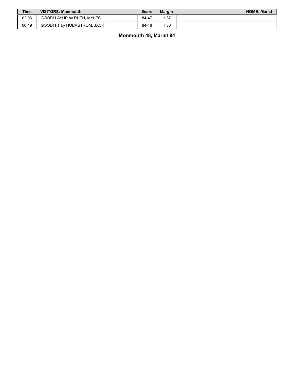| <b>Time</b> | <b>VISITORS: Monmouth</b>   | Score | Margin | <b>HOME: Marist</b> |
|-------------|-----------------------------|-------|--------|---------------------|
| 02:06       | GOOD! LAYUP by RUTH, MYLES  | 84-47 | H 37   |                     |
| 00:49       | GOOD! FT by HOLMSTROM, JACK | 84-48 | H 36   |                     |

**Monmouth 48, Marist 84**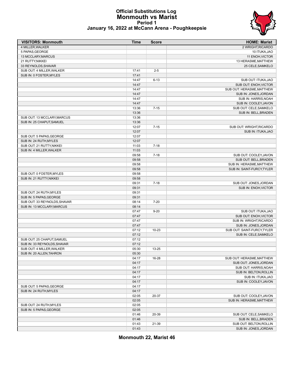# **Official Substitutions Log Monmouth vs Marist Period 1**



|  |  |  |  | January 16, 2022 at McCann Arena - Poughkeepsie |
|--|--|--|--|-------------------------------------------------|
|--|--|--|--|-------------------------------------------------|

| <b>VISITORS: Monmouth</b>    | Time  | <b>Score</b> | <b>HOME: Marist</b>         |
|------------------------------|-------|--------------|-----------------------------|
| 4 MILLER.WALKER              |       |              | 2 WRIGHT, RICARDO           |
| 5 PAPAS, GEORGE              |       |              | 10 ITUKA, JAO               |
| 13 MCCLARY, MARCUS           |       |              | 11 ENOH, VICTOR             |
| 21 RUTTY, NIKKEI             |       |              | 13 HERASME, MATTHEW         |
| 33 REYNOLDS, SHAVAR          |       |              | 25 CELE, SAMKELO            |
| SUB OUT: 4 MILLER, WALKER    | 17:41 | $2 - 5$      |                             |
| SUB IN: 0 FOSTER, MYLES      | 17:41 |              |                             |
|                              | 14:47 | $6 - 13$     | SUB OUT: ITUKA, JAO         |
|                              | 14:47 |              | SUB OUT: ENOH, VICTOR       |
|                              | 14:47 |              | SUB OUT: HERASME, MATTHEW   |
|                              | 14:47 |              | SUB IN: JONES, JORDAN       |
|                              | 14:47 |              | SUB IN: HARRIS, NOAH        |
|                              | 14:47 |              | SUB IN: COOLEY, JAVON       |
|                              | 13:36 | $7 - 15$     | SUB OUT: CELE, SAMKELO      |
|                              | 13:36 |              | SUB IN: BELL, BRADEN        |
| SUB OUT: 13 MCCLARY, MARCUS  | 13:36 |              |                             |
|                              |       |              |                             |
| SUB IN: 25 CHAPUT, SAMUEL    | 13:36 |              |                             |
|                              | 12:07 | $7 - 15$     | SUB OUT: WRIGHT, RICARDO    |
|                              | 12:07 |              | SUB IN: ITUKA, JAO          |
| SUB OUT: 5 PAPAS, GEORGE     | 12:07 |              |                             |
| SUB IN: 24 RUTH.MYLES        | 12:07 |              |                             |
| SUB OUT: 21 RUTTY, NIKKEI    | 11:03 | $7 - 18$     |                             |
| SUB IN: 4 MILLER, WALKER     | 11:03 |              |                             |
|                              | 09:58 | $7 - 18$     | SUB OUT: COOLEY, JAVON      |
|                              | 09:58 |              | SUB OUT: BELL, BRADEN       |
|                              | 09:58 |              | SUB IN: HERASME, MATTHEW    |
|                              | 09:58 |              | SUB IN: SAINT-FURCY, TYLER  |
| SUB OUT: 0 FOSTER, MYLES     | 09:58 |              |                             |
| SUB IN: 21 RUTTY, NIKKEI     | 09:58 |              |                             |
|                              | 09:31 | $7 - 18$     | SUB OUT: JONES, JORDAN      |
|                              | 09:31 |              | SUB IN: ENOH, VICTOR        |
| SUB OUT: 24 RUTH, MYLES      | 09:31 |              |                             |
| SUB IN: 5 PAPAS, GEORGE      | 09:31 |              |                             |
| SUB OUT: 33 REYNOLDS, SHAVAR | 08:14 | $7 - 20$     |                             |
| SUB IN: 13 MCCLARY, MARCUS   | 08:14 |              |                             |
|                              | 07:47 | $9 - 20$     | SUB OUT: ITUKA, JAO         |
|                              | 07:47 |              | SUB OUT: ENOH, VICTOR       |
|                              | 07:47 |              | SUB IN: WRIGHT, RICARDO     |
|                              | 07:47 |              | SUB IN: JONES, JORDAN       |
|                              | 07:12 | $10 - 23$    | SUB OUT: SAINT-FURCY, TYLER |
|                              | 07:12 |              | SUB IN: CELE, SAMKELO       |
| SUB OUT: 25 CHAPUT, SAMUEL   | 07:12 |              |                             |
| SUB IN: 33 REYNOLDS.SHAVAR   | 07:12 |              |                             |
| SUB OUT: 4 MILLER, WALKER    | 05:30 | 13-25        |                             |
| SUB IN: 20 ALLEN, TAHRON     | 05:30 |              |                             |
|                              | 04:17 | 16-28        | SUB OUT: HERASME, MATTHEW   |
|                              | 04:17 |              | SUB OUT: JONES, JORDAN      |
|                              | 04:17 |              | SUB OUT: HARRIS, NOAH       |
|                              | 04:17 |              | SUB IN: BELTON, ROLLIN      |
|                              |       |              |                             |
|                              | 04:17 |              | SUB IN: ITUKA, JAO          |
|                              | 04:17 |              | SUB IN: COOLEY, JAVON       |
| SUB OUT: 5 PAPAS, GEORGE     | 04:17 |              |                             |
| SUB IN: 24 RUTH, MYLES       | 04:17 |              |                             |
|                              | 02:05 | 20-37        | SUB OUT: COOLEY, JAVON      |
|                              | 02:05 |              | SUB IN: HERASME, MATTHEW    |
| SUB OUT: 24 RUTH, MYLES      | 02:05 |              |                             |
| SUB IN: 5 PAPAS.GEORGE       | 02:05 |              |                             |
|                              | 01:46 | 20-39        | SUB OUT: CELE, SAMKELO      |
|                              | 01:46 |              | SUB IN: BELL, BRADEN        |
|                              | 01:43 | 21-39        | SUB OUT: BELTON, ROLLIN     |
|                              | 01:43 |              | SUB IN: JONES, JORDAN       |

**Monmouth 22, Marist 46**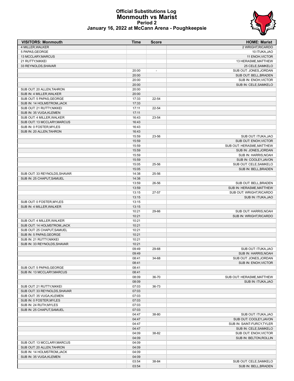

#### **Official Substitutions Log Monmouth vs Marist Period 2 January 16, 2022 at McCann Arena - Poughkeepsie**

| <b>VISITORS: Monmouth</b>                            | <b>Time</b>    | <b>Score</b>   | <b>HOME: Marist</b>        |
|------------------------------------------------------|----------------|----------------|----------------------------|
| 4 MILLER.WALKER                                      |                |                | 2 WRIGHT, RICARDO          |
| 5 PAPAS, GEORGE                                      |                |                | 10 ITUKA, JAO              |
| 13 MCCLARY, MARCUS                                   |                |                | 11 ENOH, VICTOR            |
| 21 RUTTY, NIKKEI                                     |                |                | 13 HERASME, MATTHEW        |
| 33 REYNOLDS, SHAVAR                                  |                |                | 25 CELE, SAMKELO           |
|                                                      | 20:00          | $\overline{a}$ | SUB OUT: JONES, JORDAN     |
|                                                      | 20:00          |                | SUB OUT: BELL, BRADEN      |
|                                                      | 20:00          |                | SUB IN: ENOH, VICTOR       |
|                                                      | 20:00          |                | SUB IN: CELE, SAMKELO      |
| SUB OUT: 20 ALLEN.TAHRON                             | 20:00          |                |                            |
| SUB IN: 4 MILLER, WALKER                             | 20:00          |                |                            |
| SUB OUT: 5 PAPAS, GEORGE                             | 17:33          | 22-54          |                            |
| SUB IN: 14 HOLMSTROM, JACK                           | 17:33          |                |                            |
| SUB OUT: 21 RUTTY, NIKKEI                            | 17:11          | 22-54          |                            |
| SUB IN: 35 VUGA, KLEMEN<br>SUB OUT: 4 MILLER, WALKER | 17:11<br>16:43 | 23-54          |                            |
| SUB OUT: 13 MCCLARY, MARCUS                          | 16:43          |                |                            |
| SUB IN: 0 FOSTER, MYLES                              | 16:43          |                |                            |
| SUB IN: 20 ALLEN, TAHRON                             | 16:43          |                |                            |
|                                                      | 15:59          | 23-56          | SUB OUT: ITUKA, JAO        |
|                                                      | 15:59          |                | SUB OUT: ENOH, VICTOR      |
|                                                      | 15:59          |                | SUB OUT: HERASME, MATTHEW  |
|                                                      | 15:59          |                | SUB IN: JONES, JORDAN      |
|                                                      | 15:59          |                | SUB IN: HARRIS, NOAH       |
|                                                      | 15:59          |                | SUB IN: COOLEY, JAVON      |
|                                                      | 15:05          | 25-56          | SUB OUT: CELE, SAMKELO     |
|                                                      | 15:05          |                | SUB IN: BELL, BRADEN       |
| SUB OUT: 33 REYNOLDS, SHAVAR                         | 14:38          | 25-56          |                            |
| SUB IN: 25 CHAPUT.SAMUEL                             | 14:38          |                |                            |
|                                                      | 13:59          | 26-56          | SUB OUT: BELL, BRADEN      |
|                                                      | 13:59          |                | SUB IN: HERASME, MATTHEW   |
|                                                      | 13:15          | 27-57          | SUB OUT: WRIGHT, RICARDO   |
|                                                      | 13:15          |                | SUB IN: ITUKA, JAO         |
| SUB OUT: 0 FOSTER, MYLES                             | 13:15          |                |                            |
| SUB IN: 4 MILLER, WALKER                             | 13:15          |                |                            |
|                                                      | 10:21          | 29-66          | SUB OUT: HARRIS NOAH       |
|                                                      | 10:21          |                | SUB IN: WRIGHT, RICARDO    |
| SUB OUT: 4 MILLER, WALKER                            | 10:21          |                |                            |
| SUB OUT: 14 HOLMSTROM.JACK                           | 10:21          |                |                            |
| SUB OUT: 25 CHAPUT.SAMUEL                            | 10:21          |                |                            |
| SUB IN: 5 PAPAS, GEORGE                              | 10:21          |                |                            |
| SUB IN: 21 RUTTY, NIKKEI                             | 10:21          |                |                            |
| SUB IN: 33 REYNOLDS, SHAVAR                          | 10:21          |                |                            |
|                                                      | 09:49          | 29-68          | SUB OUT: ITUKA.JAO         |
|                                                      | 09:49          |                | SUB IN: HARRIS, NOAH       |
|                                                      | 08:41          | 34-68          | SUB OUT: JONES, JORDAN     |
|                                                      | 08:41          |                | SUB IN: ENOH, VICTOR       |
| SUB OUT: 5 PAPAS, GEORGE                             | 08:41          |                |                            |
| SUB IN: 13 MCCLARY, MARCUS                           | 08:41          |                |                            |
|                                                      | 08:09          | 36-70          | SUB OUT: HERASME, MATTHEW  |
|                                                      | 08:09          |                | SUB IN: ITUKA, JAO         |
| SUB OUT: 21 RUTTY, NIKKEI                            | 07:03          | 36-73          |                            |
| SUB OUT: 33 REYNOLDS, SHAVAR                         | 07:03          |                |                            |
| SUB OUT: 35 VUGA.KLEMEN                              | 07:03          |                |                            |
| SUB IN: 0 FOSTER, MYLES                              | 07:03          |                |                            |
| SUB IN: 24 RUTH, MYLES                               | 07:03          |                |                            |
| SUB IN: 25 CHAPUT, SAMUEL                            | 07:03          |                |                            |
|                                                      | 04:47          | 38-80          | SUB OUT: ITUKA, JAO        |
|                                                      | 04:47          |                | SUB OUT: COOLEY, JAVON     |
|                                                      | 04:47          |                | SUB IN: SAINT-FURCY, TYLER |
|                                                      | 04:47          |                | SUB IN: CELE, SAMKELO      |
|                                                      | 04:09          | 38-82          | SUB OUT: ENOH, VICTOR      |
|                                                      | 04:09          |                | SUB IN: BELTON, ROLLIN     |
| SUB OUT: 13 MCCLARY, MARCUS                          | 04:09          |                |                            |
| SUB OUT: 20 ALLEN, TAHRON                            | 04:09          |                |                            |
| SUB IN: 14 HOLMSTROM, JACK                           | 04:09          |                |                            |
| SUB IN: 35 VUGA, KLEMEN                              | 04:09          |                |                            |
|                                                      | 03:54          | 38-84          | SUB OUT: CELE, SAMKELO     |
|                                                      | 03:54          |                | SUB IN: BELL, BRADEN       |